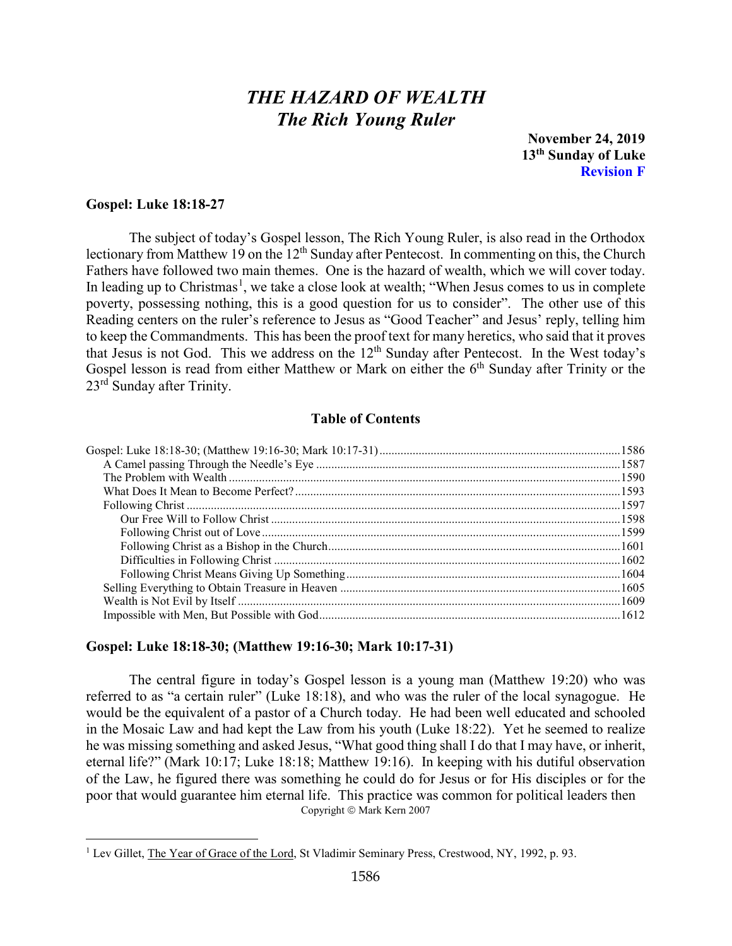# *THE HAZARD OF WEALTH The Rich Young Ruler*

**November 24, 2019 13th Sunday of Luke Revision F**

## **Gospel: Luke 18:18-27**

The subject of today's Gospel lesson, The Rich Young Ruler, is also read in the Orthodox lectionary from Matthew 19 on the  $12<sup>th</sup>$  Sunday after Pentecost. In commenting on this, the Church Fathers have followed two main themes. One is the hazard of wealth, which we will cover today. In leading up to Christmas<sup>[1](#page-0-1)</sup>, we take a close look at wealth; "When Jesus comes to us in complete poverty, possessing nothing, this is a good question for us to consider". The other use of this Reading centers on the ruler's reference to Jesus as "Good Teacher" and Jesus' reply, telling him to keep the Commandments. This has been the proof text for many heretics, who said that it proves that Jesus is not God. This we address on the 12<sup>th</sup> Sunday after Pentecost. In the West today's Gospel lesson is read from either Matthew or Mark on either the 6<sup>th</sup> Sunday after Trinity or the 23rd Sunday after Trinity.

#### **Table of Contents**

#### <span id="page-0-0"></span>**Gospel: Luke 18:18-30; (Matthew 19:16-30; Mark 10:17-31)**

The central figure in today's Gospel lesson is a young man (Matthew 19:20) who was referred to as "a certain ruler" (Luke 18:18), and who was the ruler of the local synagogue. He would be the equivalent of a pastor of a Church today. He had been well educated and schooled in the Mosaic Law and had kept the Law from his youth (Luke 18:22). Yet he seemed to realize he was missing something and asked Jesus, "What good thing shall I do that I may have, or inherit, eternal life?" (Mark 10:17; Luke 18:18; Matthew 19:16). In keeping with his dutiful observation of the Law, he figured there was something he could do for Jesus or for His disciples or for the poor that would guarantee him eternal life. This practice was common for political leaders then Copyright © Mark Kern 2007

<span id="page-0-1"></span><sup>&</sup>lt;sup>1</sup> Lev Gillet, The Year of Grace of the Lord, St Vladimir Seminary Press, Crestwood, NY, 1992, p. 93.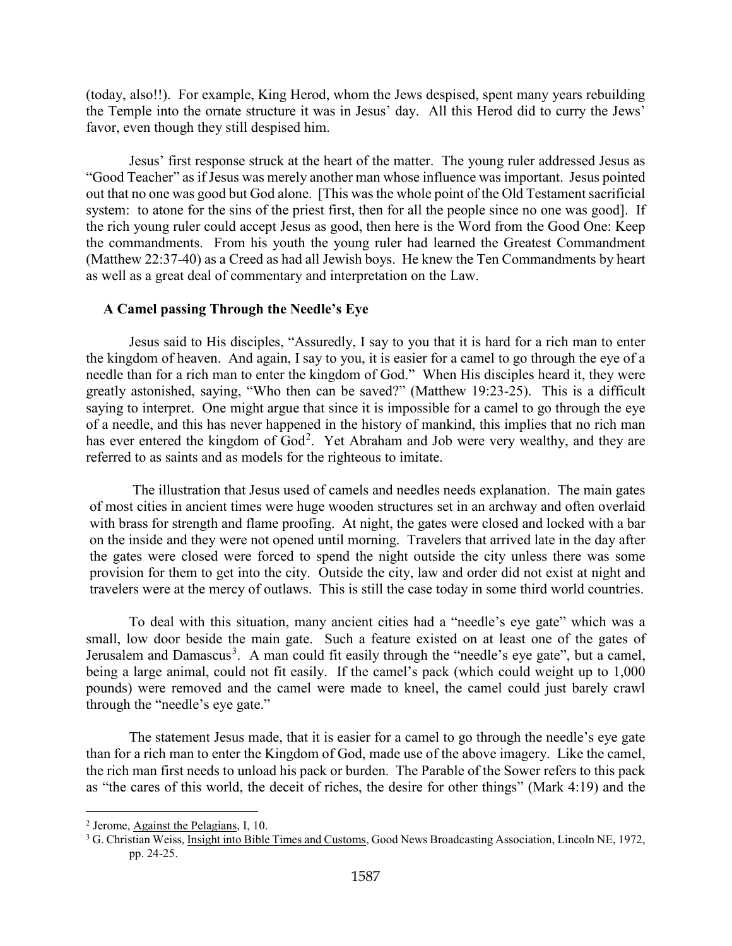(today, also!!). For example, King Herod, whom the Jews despised, spent many years rebuilding the Temple into the ornate structure it was in Jesus' day. All this Herod did to curry the Jews' favor, even though they still despised him.

Jesus' first response struck at the heart of the matter. The young ruler addressed Jesus as "Good Teacher" as if Jesus was merely another man whose influence was important. Jesus pointed out that no one was good but God alone. [This was the whole point of the Old Testament sacrificial system: to atone for the sins of the priest first, then for all the people since no one was good. If the rich young ruler could accept Jesus as good, then here is the Word from the Good One: Keep the commandments. From his youth the young ruler had learned the Greatest Commandment (Matthew 22:37-40) as a Creed as had all Jewish boys. He knew the Ten Commandments by heart as well as a great deal of commentary and interpretation on the Law.

# <span id="page-1-0"></span>**A Camel passing Through the Needle's Eye**

Jesus said to His disciples, "Assuredly, I say to you that it is hard for a rich man to enter the kingdom of heaven. And again, I say to you, it is easier for a camel to go through the eye of a needle than for a rich man to enter the kingdom of God." When His disciples heard it, they were greatly astonished, saying, "Who then can be saved?" (Matthew 19:23-25). This is a difficult saying to interpret. One might argue that since it is impossible for a camel to go through the eye of a needle, and this has never happened in the history of mankind, this implies that no rich man has ever entered the kingdom of God<sup>[2](#page-1-1)</sup>. Yet Abraham and Job were very wealthy, and they are referred to as saints and as models for the righteous to imitate.

The illustration that Jesus used of camels and needles needs explanation. The main gates of most cities in ancient times were huge wooden structures set in an archway and often overlaid with brass for strength and flame proofing. At night, the gates were closed and locked with a bar on the inside and they were not opened until morning. Travelers that arrived late in the day after the gates were closed were forced to spend the night outside the city unless there was some provision for them to get into the city. Outside the city, law and order did not exist at night and travelers were at the mercy of outlaws. This is still the case today in some third world countries.

To deal with this situation, many ancient cities had a "needle's eye gate" which was a small, low door beside the main gate. Such a feature existed on at least one of the gates of Jerusalem and Damascus<sup>[3](#page-1-2)</sup>. A man could fit easily through the "needle's eye gate", but a camel, being a large animal, could not fit easily. If the camel's pack (which could weight up to 1,000 pounds) were removed and the camel were made to kneel, the camel could just barely crawl through the "needle's eye gate."

The statement Jesus made, that it is easier for a camel to go through the needle's eye gate than for a rich man to enter the Kingdom of God, made use of the above imagery. Like the camel, the rich man first needs to unload his pack or burden. The Parable of the Sower refers to this pack as "the cares of this world, the deceit of riches, the desire for other things" (Mark 4:19) and the

<span id="page-1-1"></span><sup>2</sup> Jerome, Against the Pelagians, I, 10.

<span id="page-1-2"></span><sup>&</sup>lt;sup>3</sup> G. Christian Weiss, *Insight into Bible Times and Customs*, Good News Broadcasting Association, Lincoln NE, 1972, pp. 24-25.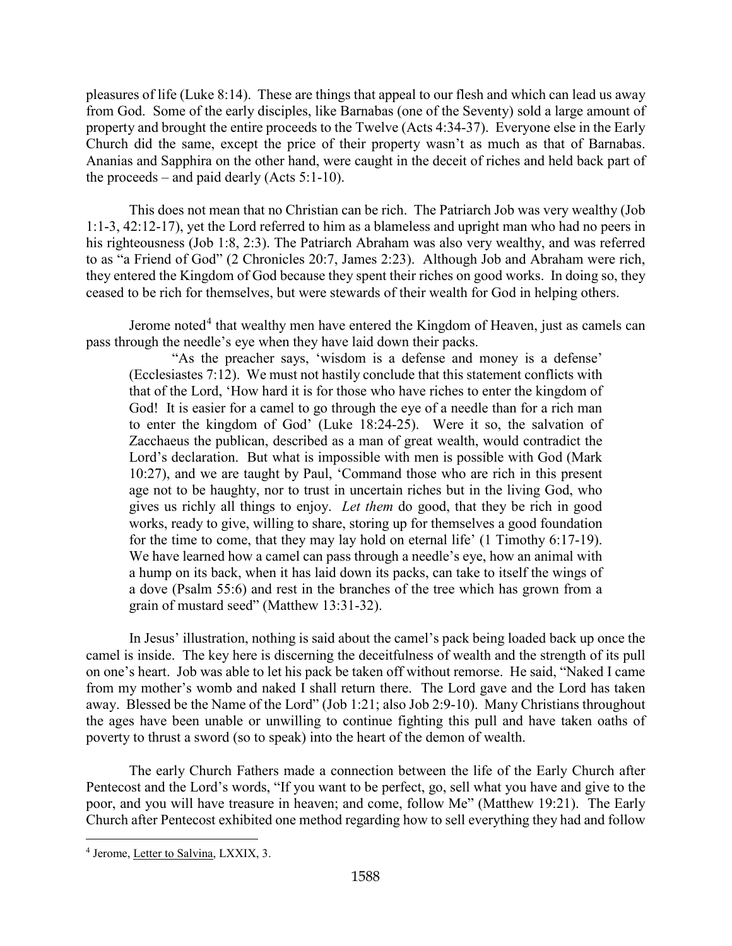pleasures of life (Luke 8:14). These are things that appeal to our flesh and which can lead us away from God. Some of the early disciples, like Barnabas (one of the Seventy) sold a large amount of property and brought the entire proceeds to the Twelve (Acts 4:34-37). Everyone else in the Early Church did the same, except the price of their property wasn't as much as that of Barnabas. Ananias and Sapphira on the other hand, were caught in the deceit of riches and held back part of the proceeds – and paid dearly (Acts  $5:1-10$ ).

This does not mean that no Christian can be rich. The Patriarch Job was very wealthy (Job 1:1-3, 42:12-17), yet the Lord referred to him as a blameless and upright man who had no peers in his righteousness (Job 1:8, 2:3). The Patriarch Abraham was also very wealthy, and was referred to as "a Friend of God" (2 Chronicles 20:7, James 2:23). Although Job and Abraham were rich, they entered the Kingdom of God because they spent their riches on good works. In doing so, they ceased to be rich for themselves, but were stewards of their wealth for God in helping others.

Jerome noted<sup>[4](#page-2-0)</sup> that wealthy men have entered the Kingdom of Heaven, just as camels can pass through the needle's eye when they have laid down their packs.

"As the preacher says, 'wisdom is a defense and money is a defense' (Ecclesiastes 7:12). We must not hastily conclude that this statement conflicts with that of the Lord, 'How hard it is for those who have riches to enter the kingdom of God! It is easier for a camel to go through the eye of a needle than for a rich man to enter the kingdom of God' (Luke 18:24-25). Were it so, the salvation of Zacchaeus the publican, described as a man of great wealth, would contradict the Lord's declaration. But what is impossible with men is possible with God (Mark 10:27), and we are taught by Paul, 'Command those who are rich in this present age not to be haughty, nor to trust in uncertain riches but in the living God, who gives us richly all things to enjoy. *Let them* do good, that they be rich in good works, ready to give, willing to share, storing up for themselves a good foundation for the time to come, that they may lay hold on eternal life' (1 Timothy 6:17-19). We have learned how a camel can pass through a needle's eye, how an animal with a hump on its back, when it has laid down its packs, can take to itself the wings of a dove (Psalm 55:6) and rest in the branches of the tree which has grown from a grain of mustard seed" (Matthew 13:31-32).

In Jesus' illustration, nothing is said about the camel's pack being loaded back up once the camel is inside. The key here is discerning the deceitfulness of wealth and the strength of its pull on one's heart. Job was able to let his pack be taken off without remorse. He said, "Naked I came from my mother's womb and naked I shall return there. The Lord gave and the Lord has taken away. Blessed be the Name of the Lord" (Job 1:21; also Job 2:9-10). Many Christians throughout the ages have been unable or unwilling to continue fighting this pull and have taken oaths of poverty to thrust a sword (so to speak) into the heart of the demon of wealth.

The early Church Fathers made a connection between the life of the Early Church after Pentecost and the Lord's words, "If you want to be perfect, go, sell what you have and give to the poor, and you will have treasure in heaven; and come, follow Me" (Matthew 19:21). The Early Church after Pentecost exhibited one method regarding how to sell everything they had and follow

<span id="page-2-0"></span><sup>4</sup> Jerome, Letter to Salvina, LXXIX, 3.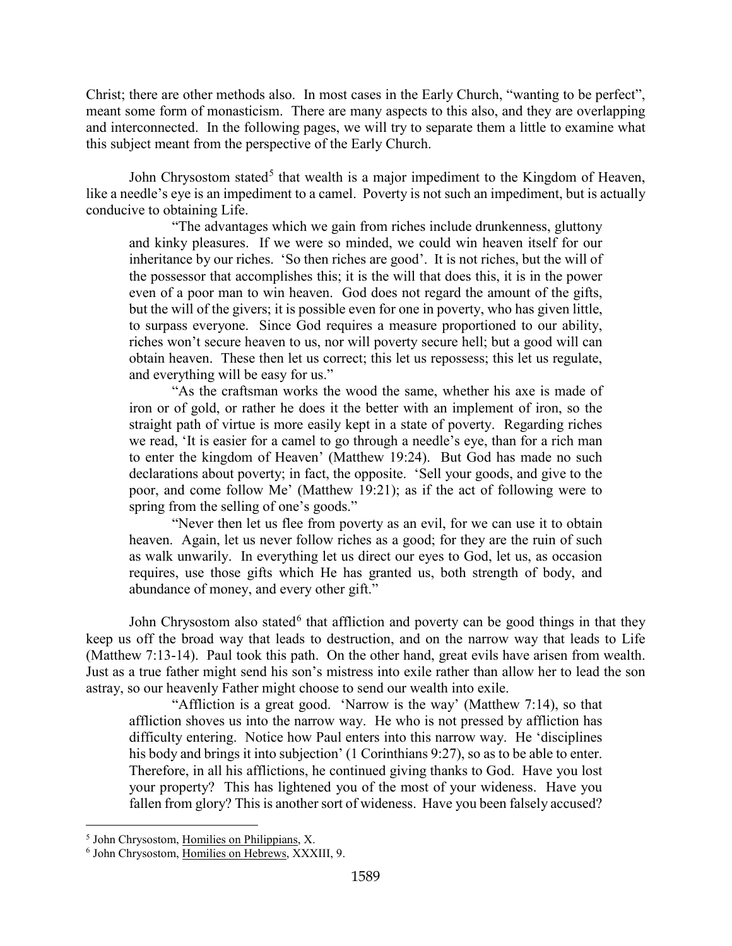Christ; there are other methods also. In most cases in the Early Church, "wanting to be perfect", meant some form of monasticism. There are many aspects to this also, and they are overlapping and interconnected. In the following pages, we will try to separate them a little to examine what this subject meant from the perspective of the Early Church.

John Chrysostom stated<sup>[5](#page-3-0)</sup> that wealth is a major impediment to the Kingdom of Heaven, like a needle's eye is an impediment to a camel. Poverty is not such an impediment, but is actually conducive to obtaining Life.

"The advantages which we gain from riches include drunkenness, gluttony and kinky pleasures. If we were so minded, we could win heaven itself for our inheritance by our riches. 'So then riches are good'. It is not riches, but the will of the possessor that accomplishes this; it is the will that does this, it is in the power even of a poor man to win heaven. God does not regard the amount of the gifts, but the will of the givers; it is possible even for one in poverty, who has given little, to surpass everyone. Since God requires a measure proportioned to our ability, riches won't secure heaven to us, nor will poverty secure hell; but a good will can obtain heaven. These then let us correct; this let us repossess; this let us regulate, and everything will be easy for us."

"As the craftsman works the wood the same, whether his axe is made of iron or of gold, or rather he does it the better with an implement of iron, so the straight path of virtue is more easily kept in a state of poverty. Regarding riches we read, 'It is easier for a camel to go through a needle's eye, than for a rich man to enter the kingdom of Heaven' (Matthew 19:24). But God has made no such declarations about poverty; in fact, the opposite. 'Sell your goods, and give to the poor, and come follow Me' (Matthew 19:21); as if the act of following were to spring from the selling of one's goods."

"Never then let us flee from poverty as an evil, for we can use it to obtain heaven. Again, let us never follow riches as a good; for they are the ruin of such as walk unwarily. In everything let us direct our eyes to God, let us, as occasion requires, use those gifts which He has granted us, both strength of body, and abundance of money, and every other gift."

John Chrysostom also stated<sup>[6](#page-3-1)</sup> that affliction and poverty can be good things in that they keep us off the broad way that leads to destruction, and on the narrow way that leads to Life (Matthew 7:13-14). Paul took this path. On the other hand, great evils have arisen from wealth. Just as a true father might send his son's mistress into exile rather than allow her to lead the son astray, so our heavenly Father might choose to send our wealth into exile.

"Affliction is a great good. 'Narrow is the way' (Matthew 7:14), so that affliction shoves us into the narrow way. He who is not pressed by affliction has difficulty entering. Notice how Paul enters into this narrow way. He 'disciplines his body and brings it into subjection' (1 Corinthians 9:27), so as to be able to enter. Therefore, in all his afflictions, he continued giving thanks to God. Have you lost your property? This has lightened you of the most of your wideness. Have you fallen from glory? This is another sort of wideness. Have you been falsely accused?

<span id="page-3-0"></span><sup>&</sup>lt;sup>5</sup> John Chrysostom, Homilies on Philippians, X.

<span id="page-3-1"></span><sup>6</sup> John Chrysostom, Homilies on Hebrews, XXXIII, 9.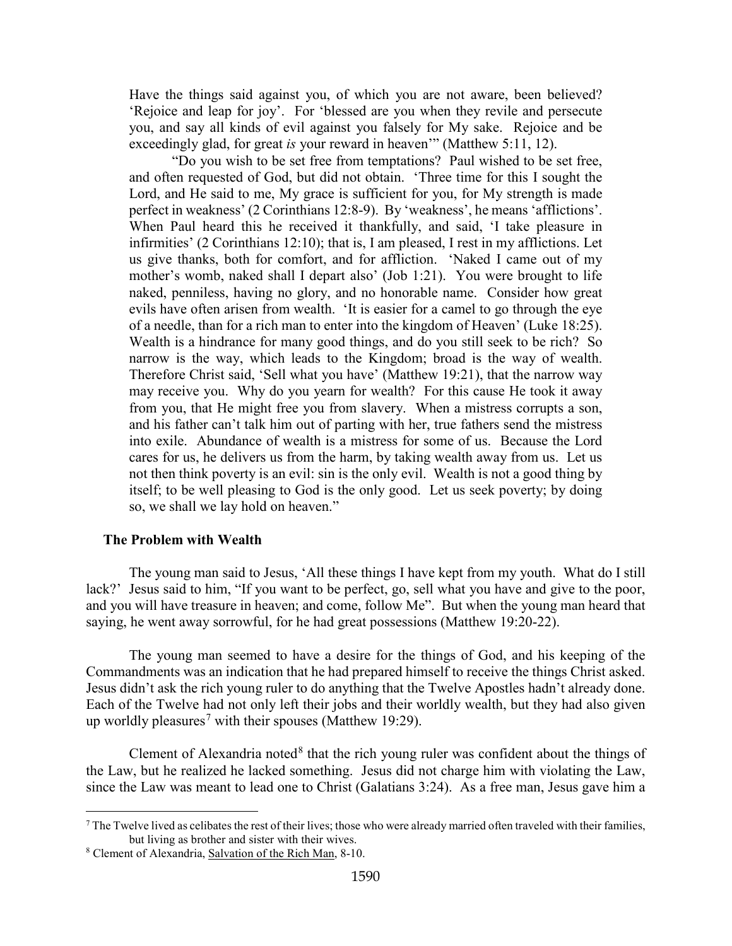Have the things said against you, of which you are not aware, been believed? 'Rejoice and leap for joy'. For 'blessed are you when they revile and persecute you, and say all kinds of evil against you falsely for My sake. Rejoice and be exceedingly glad, for great *is* your reward in heaven'" (Matthew 5:11, 12).

"Do you wish to be set free from temptations? Paul wished to be set free, and often requested of God, but did not obtain. 'Three time for this I sought the Lord, and He said to me, My grace is sufficient for you, for My strength is made perfect in weakness' (2 Corinthians 12:8-9). By 'weakness', he means 'afflictions'. When Paul heard this he received it thankfully, and said, 'I take pleasure in infirmities' (2 Corinthians 12:10); that is, I am pleased, I rest in my afflictions. Let us give thanks, both for comfort, and for affliction. 'Naked I came out of my mother's womb, naked shall I depart also' (Job 1:21). You were brought to life naked, penniless, having no glory, and no honorable name. Consider how great evils have often arisen from wealth. 'It is easier for a camel to go through the eye of a needle, than for a rich man to enter into the kingdom of Heaven' (Luke 18:25). Wealth is a hindrance for many good things, and do you still seek to be rich? So narrow is the way, which leads to the Kingdom; broad is the way of wealth. Therefore Christ said, 'Sell what you have' (Matthew 19:21), that the narrow way may receive you. Why do you yearn for wealth? For this cause He took it away from you, that He might free you from slavery. When a mistress corrupts a son, and his father can't talk him out of parting with her, true fathers send the mistress into exile. Abundance of wealth is a mistress for some of us. Because the Lord cares for us, he delivers us from the harm, by taking wealth away from us. Let us not then think poverty is an evil: sin is the only evil. Wealth is not a good thing by itself; to be well pleasing to God is the only good. Let us seek poverty; by doing so, we shall we lay hold on heaven."

### <span id="page-4-0"></span>**The Problem with Wealth**

The young man said to Jesus, 'All these things I have kept from my youth. What do I still lack?' Jesus said to him, "If you want to be perfect, go, sell what you have and give to the poor, and you will have treasure in heaven; and come, follow Me". But when the young man heard that saying, he went away sorrowful, for he had great possessions (Matthew 19:20-22).

The young man seemed to have a desire for the things of God, and his keeping of the Commandments was an indication that he had prepared himself to receive the things Christ asked. Jesus didn't ask the rich young ruler to do anything that the Twelve Apostles hadn't already done. Each of the Twelve had not only left their jobs and their worldly wealth, but they had also given up worldly pleasures<sup>[7](#page-4-1)</sup> with their spouses (Matthew 19:29).

Clement of Alexandria noted $8$  that the rich young ruler was confident about the things of the Law, but he realized he lacked something. Jesus did not charge him with violating the Law, since the Law was meant to lead one to Christ (Galatians 3:24). As a free man, Jesus gave him a

<span id="page-4-1"></span> $^7$  The Twelve lived as celibates the rest of their lives; those who were already married often traveled with their families, but living as brother and sister with their wives.

<span id="page-4-2"></span><sup>8</sup> Clement of Alexandria, Salvation of the Rich Man, 8-10.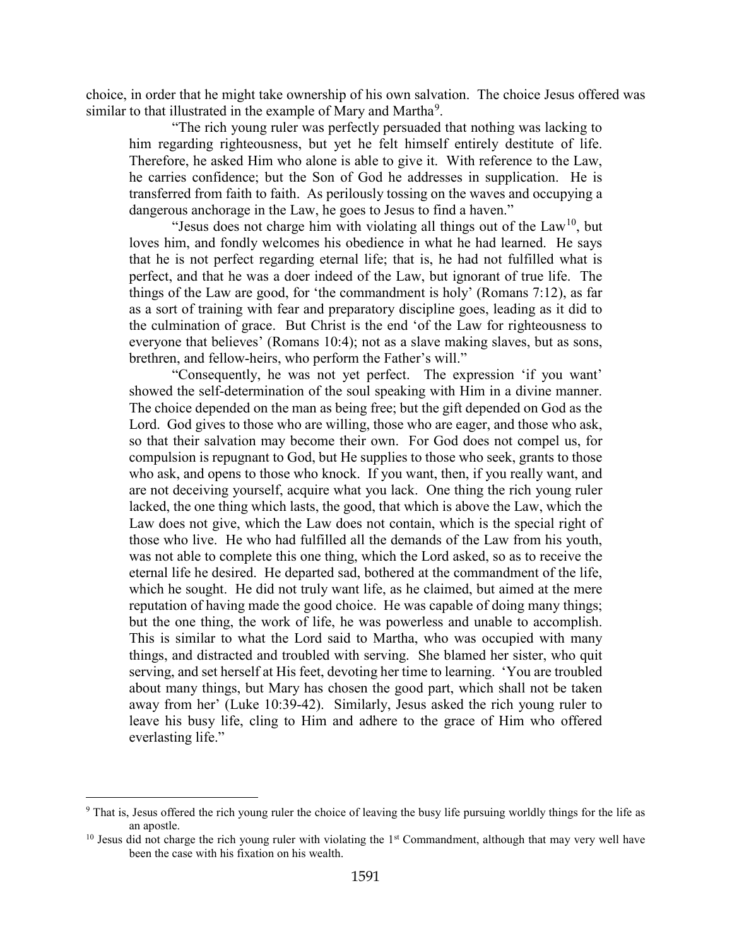choice, in order that he might take ownership of his own salvation. The choice Jesus offered was similar to that illustrated in the example of Mary and Martha $^9$  $^9$ .

"The rich young ruler was perfectly persuaded that nothing was lacking to him regarding righteousness, but yet he felt himself entirely destitute of life. Therefore, he asked Him who alone is able to give it. With reference to the Law, he carries confidence; but the Son of God he addresses in supplication. He is transferred from faith to faith. As perilously tossing on the waves and occupying a dangerous anchorage in the Law, he goes to Jesus to find a haven."

"Jesus does not charge him with violating all things out of the  $Law<sup>10</sup>$  $Law<sup>10</sup>$  $Law<sup>10</sup>$ , but loves him, and fondly welcomes his obedience in what he had learned. He says that he is not perfect regarding eternal life; that is, he had not fulfilled what is perfect, and that he was a doer indeed of the Law, but ignorant of true life. The things of the Law are good, for 'the commandment is holy' (Romans 7:12), as far as a sort of training with fear and preparatory discipline goes, leading as it did to the culmination of grace. But Christ is the end 'of the Law for righteousness to everyone that believes' (Romans 10:4); not as a slave making slaves, but as sons, brethren, and fellow-heirs, who perform the Father's will."

"Consequently, he was not yet perfect. The expression 'if you want' showed the self-determination of the soul speaking with Him in a divine manner. The choice depended on the man as being free; but the gift depended on God as the Lord. God gives to those who are willing, those who are eager, and those who ask, so that their salvation may become their own. For God does not compel us, for compulsion is repugnant to God, but He supplies to those who seek, grants to those who ask, and opens to those who knock. If you want, then, if you really want, and are not deceiving yourself, acquire what you lack. One thing the rich young ruler lacked, the one thing which lasts, the good, that which is above the Law, which the Law does not give, which the Law does not contain, which is the special right of those who live. He who had fulfilled all the demands of the Law from his youth, was not able to complete this one thing, which the Lord asked, so as to receive the eternal life he desired. He departed sad, bothered at the commandment of the life, which he sought. He did not truly want life, as he claimed, but aimed at the mere reputation of having made the good choice. He was capable of doing many things; but the one thing, the work of life, he was powerless and unable to accomplish. This is similar to what the Lord said to Martha, who was occupied with many things, and distracted and troubled with serving. She blamed her sister, who quit serving, and set herself at His feet, devoting her time to learning. 'You are troubled about many things, but Mary has chosen the good part, which shall not be taken away from her' (Luke 10:39-42). Similarly, Jesus asked the rich young ruler to leave his busy life, cling to Him and adhere to the grace of Him who offered everlasting life."

<span id="page-5-0"></span><sup>9</sup> That is, Jesus offered the rich young ruler the choice of leaving the busy life pursuing worldly things for the life as an apostle.<br><sup>10</sup> Jesus did not charge the rich young ruler with violating the 1<sup>st</sup> Commandment, although that may very well have

<span id="page-5-1"></span>been the case with his fixation on his wealth.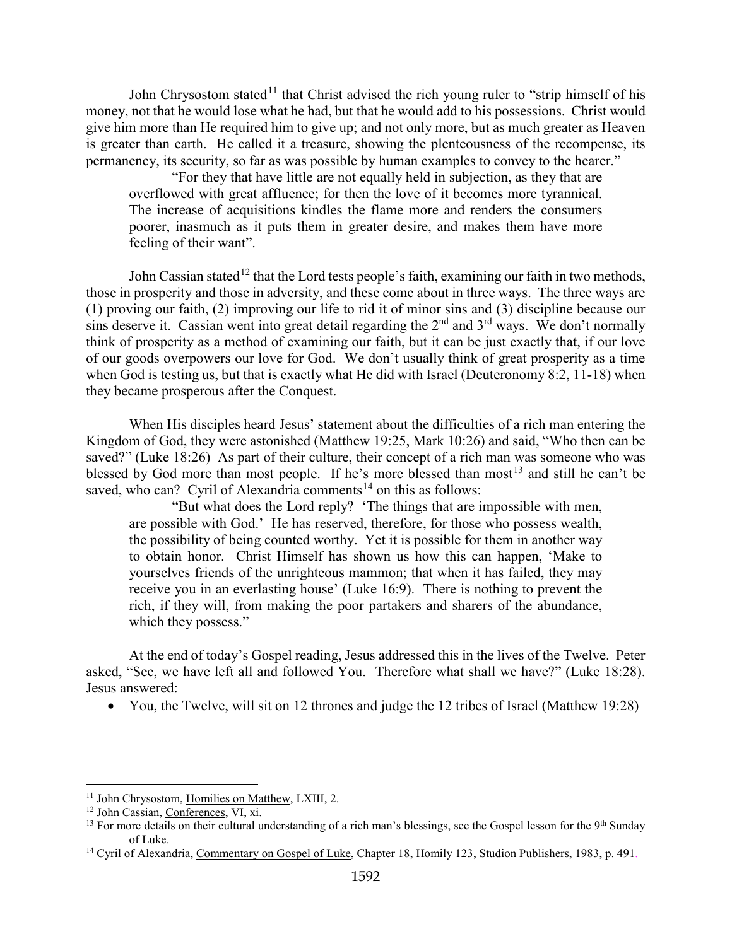John Chrysostom stated<sup>[11](#page-6-0)</sup> that Christ advised the rich young ruler to "strip himself of his money, not that he would lose what he had, but that he would add to his possessions. Christ would give him more than He required him to give up; and not only more, but as much greater as Heaven is greater than earth. He called it a treasure, showing the plenteousness of the recompense, its permanency, its security, so far as was possible by human examples to convey to the hearer."

"For they that have little are not equally held in subjection, as they that are overflowed with great affluence; for then the love of it becomes more tyrannical. The increase of acquisitions kindles the flame more and renders the consumers poorer, inasmuch as it puts them in greater desire, and makes them have more feeling of their want".

John Cassian stated<sup>[12](#page-6-1)</sup> that the Lord tests people's faith, examining our faith in two methods, those in prosperity and those in adversity, and these come about in three ways. The three ways are (1) proving our faith, (2) improving our life to rid it of minor sins and (3) discipline because our sins deserve it. Cassian went into great detail regarding the  $2<sup>nd</sup>$  and  $3<sup>rd</sup>$  ways. We don't normally think of prosperity as a method of examining our faith, but it can be just exactly that, if our love of our goods overpowers our love for God. We don't usually think of great prosperity as a time when God is testing us, but that is exactly what He did with Israel (Deuteronomy 8:2, 11-18) when they became prosperous after the Conquest.

When His disciples heard Jesus' statement about the difficulties of a rich man entering the Kingdom of God, they were astonished (Matthew 19:25, Mark 10:26) and said, "Who then can be saved?" (Luke 18:26) As part of their culture, their concept of a rich man was someone who was blessed by God more than most people. If he's more blessed than most<sup>[13](#page-6-2)</sup> and still he can't be saved, who can? Cyril of Alexandria comments<sup>[14](#page-6-3)</sup> on this as follows:

"But what does the Lord reply? 'The things that are impossible with men, are possible with God.' He has reserved, therefore, for those who possess wealth, the possibility of being counted worthy. Yet it is possible for them in another way to obtain honor. Christ Himself has shown us how this can happen, 'Make to yourselves friends of the unrighteous mammon; that when it has failed, they may receive you in an everlasting house' (Luke 16:9). There is nothing to prevent the rich, if they will, from making the poor partakers and sharers of the abundance, which they possess."

At the end of today's Gospel reading, Jesus addressed this in the lives of the Twelve. Peter asked, "See, we have left all and followed You. Therefore what shall we have?" (Luke 18:28). Jesus answered:

• You, the Twelve, will sit on 12 thrones and judge the 12 tribes of Israel (Matthew 19:28)

<span id="page-6-0"></span><sup>&</sup>lt;sup>11</sup> John Chrysostom, Homilies on Matthew, LXIII, 2.

<span id="page-6-1"></span><sup>12</sup> John Cassian, Conferences, VI, xi.

<span id="page-6-2"></span> $13$  For more details on their cultural understanding of a rich man's blessings, see the Gospel lesson for the  $9<sup>th</sup>$  Sunday of Luke.

<span id="page-6-3"></span><sup>&</sup>lt;sup>14</sup> Cyril of Alexandria, Commentary on Gospel of Luke, Chapter 18, Homily 123, Studion Publishers, 1983, p. 491.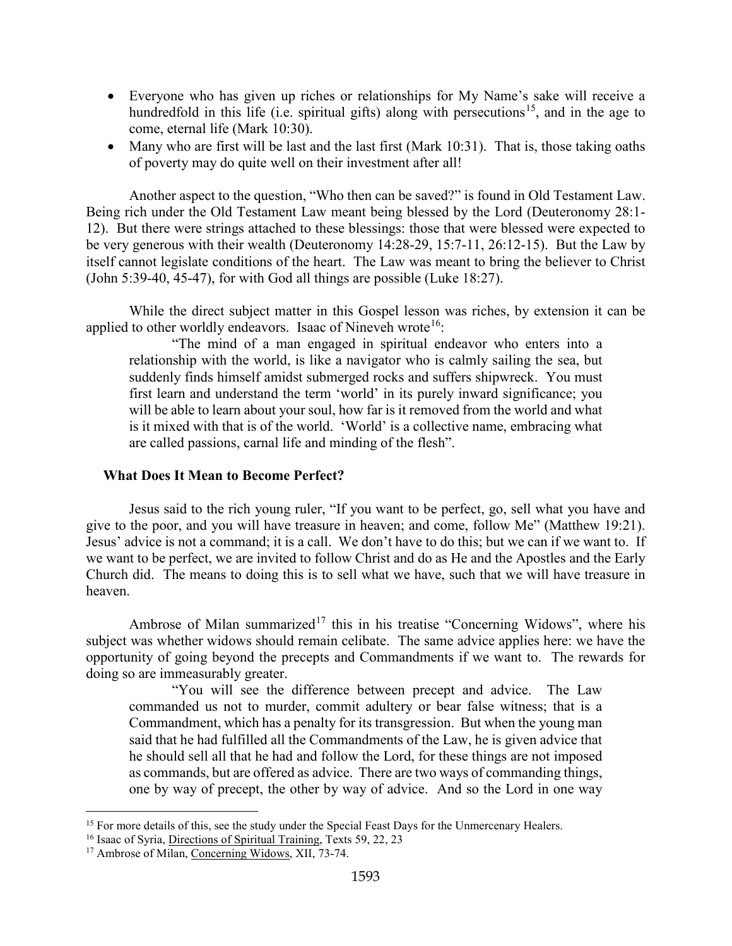- Everyone who has given up riches or relationships for My Name's sake will receive a hundredfold in this life (i.e. spiritual gifts) along with persecutions<sup>[15](#page-7-1)</sup>, and in the age to come, eternal life (Mark 10:30).
- Many who are first will be last and the last first (Mark 10:31). That is, those taking oaths of poverty may do quite well on their investment after all!

Another aspect to the question, "Who then can be saved?" is found in Old Testament Law. Being rich under the Old Testament Law meant being blessed by the Lord (Deuteronomy 28:1- 12). But there were strings attached to these blessings: those that were blessed were expected to be very generous with their wealth (Deuteronomy 14:28-29, 15:7-11, 26:12-15). But the Law by itself cannot legislate conditions of the heart. The Law was meant to bring the believer to Christ (John 5:39-40, 45-47), for with God all things are possible (Luke 18:27).

While the direct subject matter in this Gospel lesson was riches, by extension it can be applied to other worldly endeavors. Isaac of Nineveh wrote<sup>16</sup>:

"The mind of a man engaged in spiritual endeavor who enters into a relationship with the world, is like a navigator who is calmly sailing the sea, but suddenly finds himself amidst submerged rocks and suffers shipwreck. You must first learn and understand the term 'world' in its purely inward significance; you will be able to learn about your soul, how far is it removed from the world and what is it mixed with that is of the world. 'World' is a collective name, embracing what are called passions, carnal life and minding of the flesh".

# <span id="page-7-0"></span>**What Does It Mean to Become Perfect?**

Jesus said to the rich young ruler, "If you want to be perfect, go, sell what you have and give to the poor, and you will have treasure in heaven; and come, follow Me" (Matthew 19:21). Jesus' advice is not a command; it is a call. We don't have to do this; but we can if we want to. If we want to be perfect, we are invited to follow Christ and do as He and the Apostles and the Early Church did. The means to doing this is to sell what we have, such that we will have treasure in heaven.

Ambrose of Milan summarized<sup>[17](#page-7-3)</sup> this in his treatise "Concerning Widows", where his subject was whether widows should remain celibate. The same advice applies here: we have the opportunity of going beyond the precepts and Commandments if we want to. The rewards for doing so are immeasurably greater.

"You will see the difference between precept and advice. The Law commanded us not to murder, commit adultery or bear false witness; that is a Commandment, which has a penalty for its transgression. But when the young man said that he had fulfilled all the Commandments of the Law, he is given advice that he should sell all that he had and follow the Lord, for these things are not imposed as commands, but are offered as advice. There are two ways of commanding things, one by way of precept, the other by way of advice. And so the Lord in one way

<span id="page-7-1"></span><sup>&</sup>lt;sup>15</sup> For more details of this, see the study under the Special Feast Days for the Unmercenary Healers.

<span id="page-7-2"></span><sup>&</sup>lt;sup>16</sup> Isaac of Syria, Directions of Spiritual Training, Texts 59, 22, 23

<span id="page-7-3"></span><sup>&</sup>lt;sup>17</sup> Ambrose of Milan, Concerning Widows, XII, 73-74.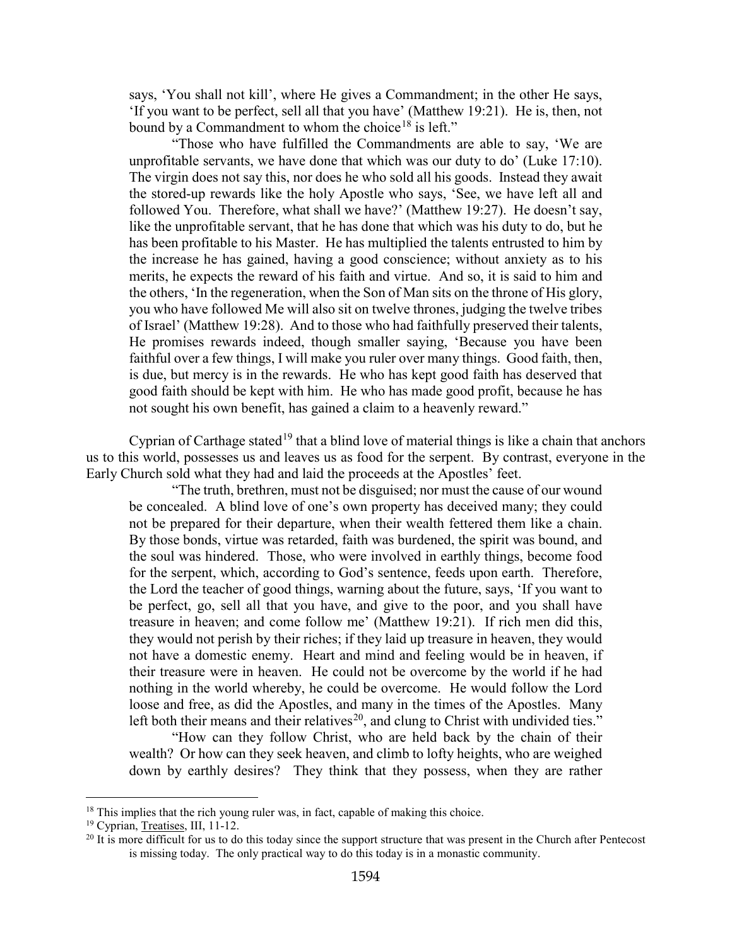says, 'You shall not kill', where He gives a Commandment; in the other He says, 'If you want to be perfect, sell all that you have' (Matthew 19:21). He is, then, not bound by a Commandment to whom the choice<sup>[18](#page-8-0)</sup> is left."

"Those who have fulfilled the Commandments are able to say, 'We are unprofitable servants, we have done that which was our duty to do' (Luke 17:10). The virgin does not say this, nor does he who sold all his goods. Instead they await the stored-up rewards like the holy Apostle who says, 'See, we have left all and followed You. Therefore, what shall we have?' (Matthew 19:27). He doesn't say, like the unprofitable servant, that he has done that which was his duty to do, but he has been profitable to his Master. He has multiplied the talents entrusted to him by the increase he has gained, having a good conscience; without anxiety as to his merits, he expects the reward of his faith and virtue. And so, it is said to him and the others, 'In the regeneration, when the Son of Man sits on the throne of His glory, you who have followed Me will also sit on twelve thrones, judging the twelve tribes of Israel' (Matthew 19:28). And to those who had faithfully preserved their talents, He promises rewards indeed, though smaller saying, 'Because you have been faithful over a few things, I will make you ruler over many things. Good faith, then, is due, but mercy is in the rewards. He who has kept good faith has deserved that good faith should be kept with him. He who has made good profit, because he has not sought his own benefit, has gained a claim to a heavenly reward."

Cyprian of Carthage stated<sup>[19](#page-8-1)</sup> that a blind love of material things is like a chain that anchors us to this world, possesses us and leaves us as food for the serpent. By contrast, everyone in the Early Church sold what they had and laid the proceeds at the Apostles' feet.

"The truth, brethren, must not be disguised; nor must the cause of our wound be concealed. A blind love of one's own property has deceived many; they could not be prepared for their departure, when their wealth fettered them like a chain. By those bonds, virtue was retarded, faith was burdened, the spirit was bound, and the soul was hindered. Those, who were involved in earthly things, become food for the serpent, which, according to God's sentence, feeds upon earth. Therefore, the Lord the teacher of good things, warning about the future, says, 'If you want to be perfect, go, sell all that you have, and give to the poor, and you shall have treasure in heaven; and come follow me' (Matthew 19:21). If rich men did this, they would not perish by their riches; if they laid up treasure in heaven, they would not have a domestic enemy. Heart and mind and feeling would be in heaven, if their treasure were in heaven. He could not be overcome by the world if he had nothing in the world whereby, he could be overcome. He would follow the Lord loose and free, as did the Apostles, and many in the times of the Apostles. Many left both their means and their relatives<sup>20</sup>, and clung to Christ with undivided ties."

"How can they follow Christ, who are held back by the chain of their wealth? Or how can they seek heaven, and climb to lofty heights, who are weighed down by earthly desires? They think that they possess, when they are rather

<span id="page-8-0"></span> $18$  This implies that the rich young ruler was, in fact, capable of making this choice.

<span id="page-8-1"></span><sup>19</sup> Cyprian, Treatises, III, 11-12.

<span id="page-8-2"></span><sup>&</sup>lt;sup>20</sup> It is more difficult for us to do this today since the support structure that was present in the Church after Pentecost is missing today. The only practical way to do this today is in a monastic community.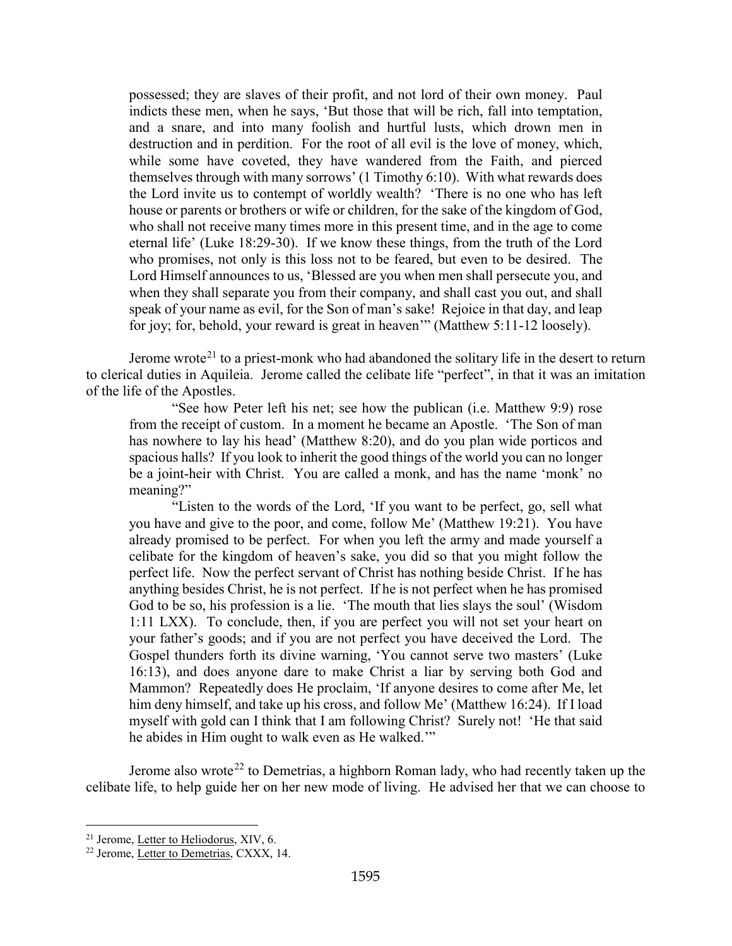possessed; they are slaves of their profit, and not lord of their own money. Paul indicts these men, when he says, 'But those that will be rich, fall into temptation, and a snare, and into many foolish and hurtful lusts, which drown men in destruction and in perdition. For the root of all evil is the love of money, which, while some have coveted, they have wandered from the Faith, and pierced themselves through with many sorrows' (1 Timothy 6:10). With what rewards does the Lord invite us to contempt of worldly wealth? 'There is no one who has left house or parents or brothers or wife or children, for the sake of the kingdom of God, who shall not receive many times more in this present time, and in the age to come eternal life' (Luke 18:29-30). If we know these things, from the truth of the Lord who promises, not only is this loss not to be feared, but even to be desired. The Lord Himself announces to us, 'Blessed are you when men shall persecute you, and when they shall separate you from their company, and shall cast you out, and shall speak of your name as evil, for the Son of man's sake! Rejoice in that day, and leap for joy; for, behold, your reward is great in heaven'" (Matthew 5:11-12 loosely).

Jerome wrote<sup>[21](#page-9-0)</sup> to a priest-monk who had abandoned the solitary life in the desert to return to clerical duties in Aquileia. Jerome called the celibate life "perfect", in that it was an imitation of the life of the Apostles.

"See how Peter left his net; see how the publican (i.e. Matthew 9:9) rose from the receipt of custom. In a moment he became an Apostle. 'The Son of man has nowhere to lay his head' (Matthew 8:20), and do you plan wide porticos and spacious halls? If you look to inherit the good things of the world you can no longer be a joint-heir with Christ. You are called a monk, and has the name 'monk' no meaning?"

"Listen to the words of the Lord, 'If you want to be perfect, go, sell what you have and give to the poor, and come, follow Me' (Matthew 19:21). You have already promised to be perfect. For when you left the army and made yourself a celibate for the kingdom of heaven's sake, you did so that you might follow the perfect life. Now the perfect servant of Christ has nothing beside Christ. If he has anything besides Christ, he is not perfect. If he is not perfect when he has promised God to be so, his profession is a lie. 'The mouth that lies slays the soul' (Wisdom 1:11 LXX). To conclude, then, if you are perfect you will not set your heart on your father's goods; and if you are not perfect you have deceived the Lord. The Gospel thunders forth its divine warning, 'You cannot serve two masters' (Luke 16:13), and does anyone dare to make Christ a liar by serving both God and Mammon? Repeatedly does He proclaim, 'If anyone desires to come after Me, let him deny himself, and take up his cross, and follow Me' (Matthew 16:24). If I load myself with gold can I think that I am following Christ? Surely not! 'He that said he abides in Him ought to walk even as He walked.'"

Jerome also wrote<sup>[22](#page-9-1)</sup> to Demetrias, a highborn Roman lady, who had recently taken up the celibate life, to help guide her on her new mode of living. He advised her that we can choose to

<span id="page-9-0"></span><sup>&</sup>lt;sup>21</sup> Jerome, Letter to Heliodorus, XIV, 6.

<span id="page-9-1"></span><sup>22</sup> Jerome, Letter to Demetrias, CXXX, 14.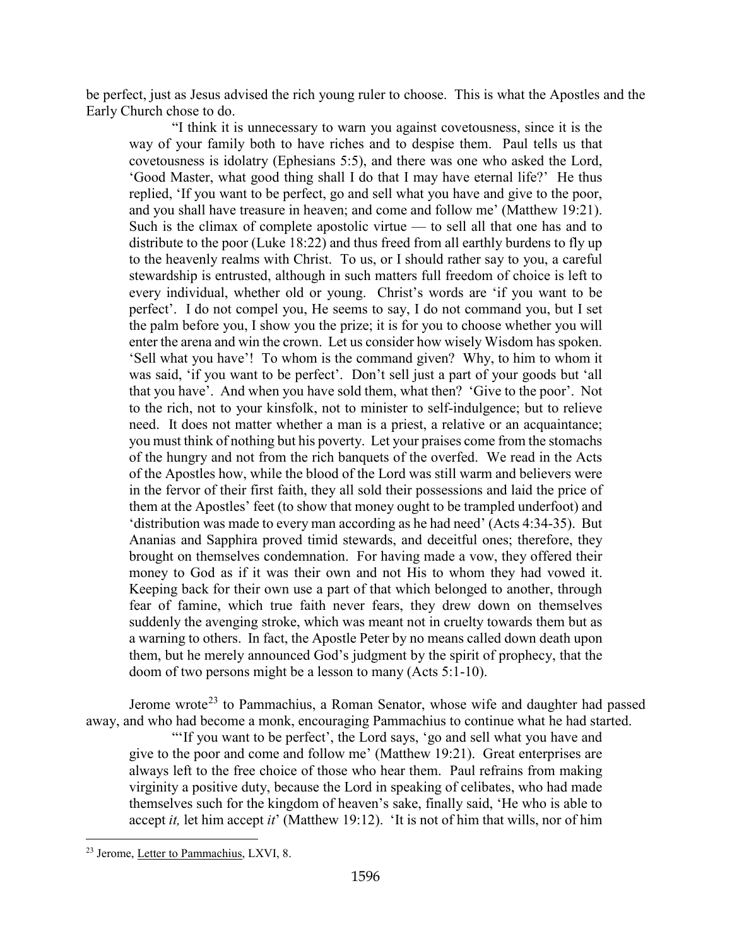be perfect, just as Jesus advised the rich young ruler to choose. This is what the Apostles and the Early Church chose to do.

"I think it is unnecessary to warn you against covetousness, since it is the way of your family both to have riches and to despise them. Paul tells us that covetousness is idolatry (Ephesians 5:5), and there was one who asked the Lord, 'Good Master, what good thing shall I do that I may have eternal life?' He thus replied, 'If you want to be perfect, go and sell what you have and give to the poor, and you shall have treasure in heaven; and come and follow me' (Matthew 19:21). Such is the climax of complete apostolic virtue — to sell all that one has and to distribute to the poor (Luke 18:22) and thus freed from all earthly burdens to fly up to the heavenly realms with Christ. To us, or I should rather say to you, a careful stewardship is entrusted, although in such matters full freedom of choice is left to every individual, whether old or young. Christ's words are 'if you want to be perfect'. I do not compel you, He seems to say, I do not command you, but I set the palm before you, I show you the prize; it is for you to choose whether you will enter the arena and win the crown. Let us consider how wisely Wisdom has spoken. 'Sell what you have'! To whom is the command given? Why, to him to whom it was said, 'if you want to be perfect'. Don't sell just a part of your goods but 'all that you have'. And when you have sold them, what then? 'Give to the poor'. Not to the rich, not to your kinsfolk, not to minister to self-indulgence; but to relieve need. It does not matter whether a man is a priest, a relative or an acquaintance; you must think of nothing but his poverty. Let your praises come from the stomachs of the hungry and not from the rich banquets of the overfed. We read in the Acts of the Apostles how, while the blood of the Lord was still warm and believers were in the fervor of their first faith, they all sold their possessions and laid the price of them at the Apostles' feet (to show that money ought to be trampled underfoot) and 'distribution was made to every man according as he had need' (Acts 4:34-35). But Ananias and Sapphira proved timid stewards, and deceitful ones; therefore, they brought on themselves condemnation. For having made a vow, they offered their money to God as if it was their own and not His to whom they had vowed it. Keeping back for their own use a part of that which belonged to another, through fear of famine, which true faith never fears, they drew down on themselves suddenly the avenging stroke, which was meant not in cruelty towards them but as a warning to others. In fact, the Apostle Peter by no means called down death upon them, but he merely announced God's judgment by the spirit of prophecy, that the doom of two persons might be a lesson to many (Acts 5:1-10).

Jerome wrote<sup>[23](#page-10-0)</sup> to Pammachius, a Roman Senator, whose wife and daughter had passed away, and who had become a monk, encouraging Pammachius to continue what he had started.

"'If you want to be perfect', the Lord says, 'go and sell what you have and give to the poor and come and follow me' (Matthew 19:21). Great enterprises are always left to the free choice of those who hear them. Paul refrains from making virginity a positive duty, because the Lord in speaking of celibates, who had made themselves such for the kingdom of heaven's sake, finally said, 'He who is able to accept *it,* let him accept *it*' (Matthew 19:12). 'It is not of him that wills, nor of him

<span id="page-10-0"></span><sup>23</sup> Jerome, Letter to Pammachius, LXVI, 8.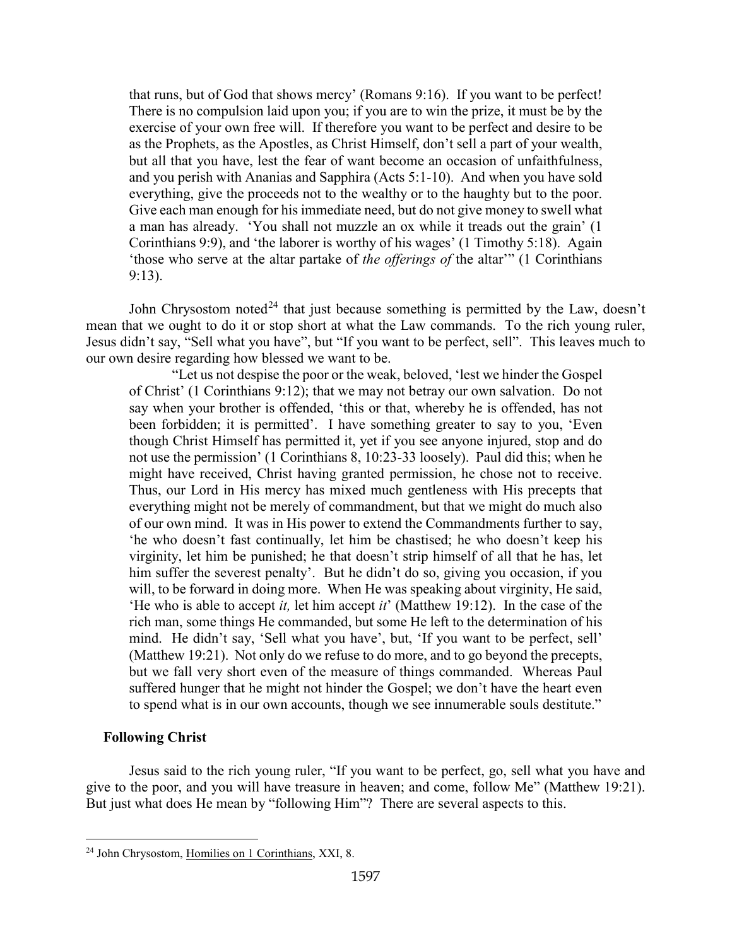that runs, but of God that shows mercy' (Romans 9:16). If you want to be perfect! There is no compulsion laid upon you; if you are to win the prize, it must be by the exercise of your own free will. If therefore you want to be perfect and desire to be as the Prophets, as the Apostles, as Christ Himself, don't sell a part of your wealth, but all that you have, lest the fear of want become an occasion of unfaithfulness, and you perish with Ananias and Sapphira (Acts 5:1-10). And when you have sold everything, give the proceeds not to the wealthy or to the haughty but to the poor. Give each man enough for his immediate need, but do not give money to swell what a man has already. 'You shall not muzzle an ox while it treads out the grain' (1 Corinthians 9:9), and 'the laborer is worthy of his wages' (1 Timothy 5:18). Again 'those who serve at the altar partake of *the offerings of* the altar'" (1 Corinthians 9:13).

John Chrysostom noted<sup>[24](#page-11-1)</sup> that just because something is permitted by the Law, doesn't mean that we ought to do it or stop short at what the Law commands. To the rich young ruler, Jesus didn't say, "Sell what you have", but "If you want to be perfect, sell". This leaves much to our own desire regarding how blessed we want to be.

"Let us not despise the poor or the weak, beloved, 'lest we hinder the Gospel of Christ' (1 Corinthians 9:12); that we may not betray our own salvation. Do not say when your brother is offended, 'this or that, whereby he is offended, has not been forbidden; it is permitted'. I have something greater to say to you, 'Even though Christ Himself has permitted it, yet if you see anyone injured, stop and do not use the permission' (1 Corinthians 8, 10:23-33 loosely). Paul did this; when he might have received, Christ having granted permission, he chose not to receive. Thus, our Lord in His mercy has mixed much gentleness with His precepts that everything might not be merely of commandment, but that we might do much also of our own mind. It was in His power to extend the Commandments further to say, 'he who doesn't fast continually, let him be chastised; he who doesn't keep his virginity, let him be punished; he that doesn't strip himself of all that he has, let him suffer the severest penalty'. But he didn't do so, giving you occasion, if you will, to be forward in doing more. When He was speaking about virginity, He said, 'He who is able to accept *it,* let him accept *it*' (Matthew 19:12). In the case of the rich man, some things He commanded, but some He left to the determination of his mind. He didn't say, 'Sell what you have', but, 'If you want to be perfect, sell' (Matthew 19:21). Not only do we refuse to do more, and to go beyond the precepts, but we fall very short even of the measure of things commanded. Whereas Paul suffered hunger that he might not hinder the Gospel; we don't have the heart even to spend what is in our own accounts, though we see innumerable souls destitute."

## <span id="page-11-0"></span>**Following Christ**

Jesus said to the rich young ruler, "If you want to be perfect, go, sell what you have and give to the poor, and you will have treasure in heaven; and come, follow Me" (Matthew 19:21). But just what does He mean by "following Him"? There are several aspects to this.

<span id="page-11-1"></span><sup>24</sup> John Chrysostom, Homilies on 1 Corinthians, XXI, 8.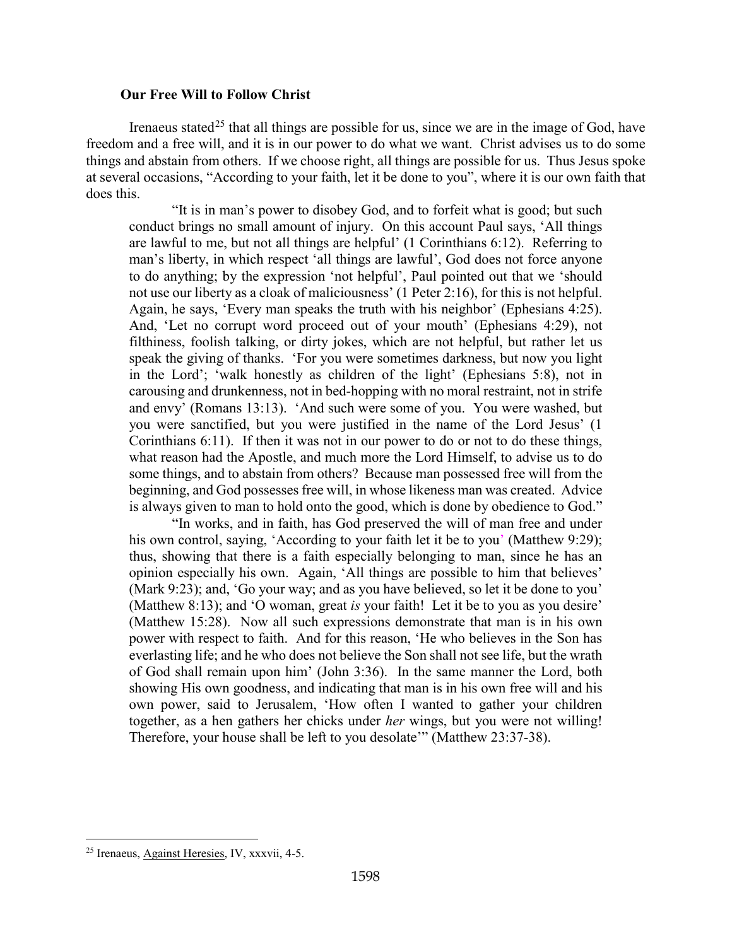### **Our Free Will to Follow Christ**

<span id="page-12-0"></span>Irenaeus stated<sup>[25](#page-12-2)</sup> that all things are possible for us, since we are in the image of God, have freedom and a free will, and it is in our power to do what we want. Christ advises us to do some things and abstain from others. If we choose right, all things are possible for us. Thus Jesus spoke at several occasions, "According to your faith, let it be done to you", where it is our own faith that does this.

"It is in man's power to disobey God, and to forfeit what is good; but such conduct brings no small amount of injury. On this account Paul says, 'All things are lawful to me, but not all things are helpful' (1 Corinthians 6:12). Referring to man's liberty, in which respect 'all things are lawful', God does not force anyone to do anything; by the expression 'not helpful', Paul pointed out that we 'should not use our liberty as a cloak of maliciousness' (1 Peter 2:16), for this is not helpful. Again, he says, 'Every man speaks the truth with his neighbor' (Ephesians 4:25). And, 'Let no corrupt word proceed out of your mouth' (Ephesians 4:29), not filthiness, foolish talking, or dirty jokes, which are not helpful, but rather let us speak the giving of thanks. 'For you were sometimes darkness, but now you light in the Lord'; 'walk honestly as children of the light' (Ephesians 5:8), not in carousing and drunkenness, not in bed-hopping with no moral restraint, not in strife and envy' (Romans 13:13). 'And such were some of you. You were washed, but you were sanctified, but you were justified in the name of the Lord Jesus' (1 Corinthians 6:11). If then it was not in our power to do or not to do these things, what reason had the Apostle, and much more the Lord Himself, to advise us to do some things, and to abstain from others? Because man possessed free will from the beginning, and God possesses free will, in whose likeness man was created. Advice is always given to man to hold onto the good, which is done by obedience to God."

"In works, and in faith, has God preserved the will of man free and under his own control, saying, 'According to your faith let it be to you' (Matthew 9:29); thus, showing that there is a faith especially belonging to man, since he has an opinion especially his own. Again, 'All things are possible to him that believes' (Mark 9:23); and, 'Go your way; and as you have believed, so let it be done to you' (Matthew 8:13); and 'O woman, great *is* your faith! Let it be to you as you desire' (Matthew 15:28). Now all such expressions demonstrate that man is in his own power with respect to faith. And for this reason, 'He who believes in the Son has everlasting life; and he who does not believe the Son shall not see life, but the wrath of God shall remain upon him' (John 3:36). In the same manner the Lord, both showing His own goodness, and indicating that man is in his own free will and his own power, said to Jerusalem, 'How often I wanted to gather your children together, as a hen gathers her chicks under *her* wings, but you were not willing! Therefore, your house shall be left to you desolate'" (Matthew 23:37-38).

<span id="page-12-2"></span><span id="page-12-1"></span><sup>25</sup> Irenaeus, Against Heresies, IV, xxxvii, 4-5.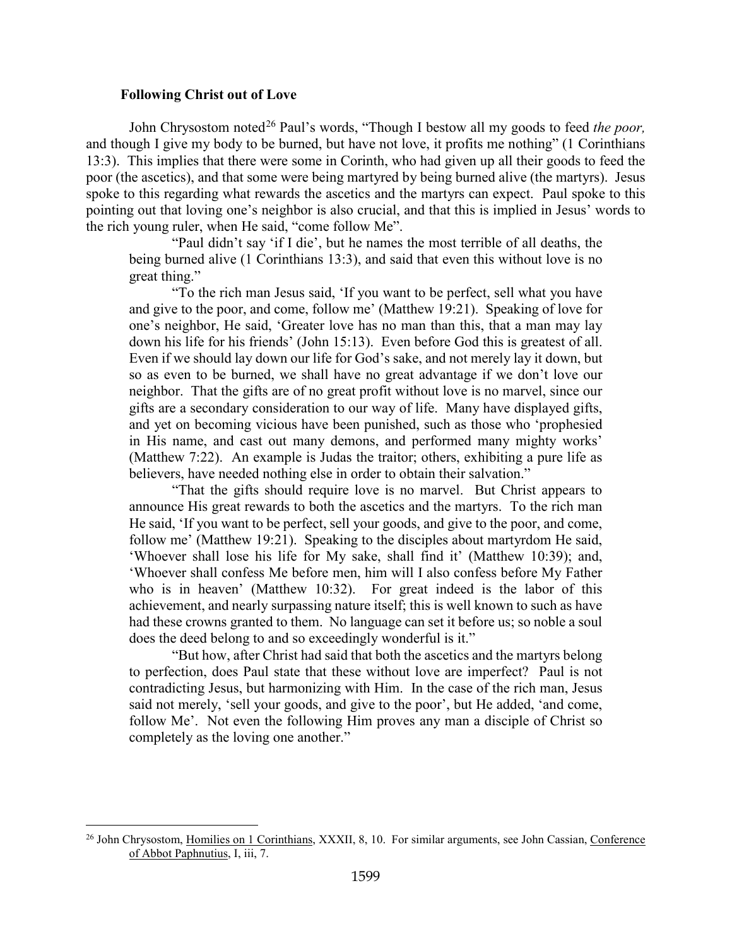#### **Following Christ out of Love**

John Chrysostom noted<sup>[26](#page-13-0)</sup> Paul's words, "Though I bestow all my goods to feed *the poor*, and though I give my body to be burned, but have not love, it profits me nothing" (1 Corinthians 13:3). This implies that there were some in Corinth, who had given up all their goods to feed the poor (the ascetics), and that some were being martyred by being burned alive (the martyrs). Jesus spoke to this regarding what rewards the ascetics and the martyrs can expect. Paul spoke to this pointing out that loving one's neighbor is also crucial, and that this is implied in Jesus' words to the rich young ruler, when He said, "come follow Me".

"Paul didn't say 'if I die', but he names the most terrible of all deaths, the being burned alive (1 Corinthians 13:3), and said that even this without love is no great thing."

"To the rich man Jesus said, 'If you want to be perfect, sell what you have and give to the poor, and come, follow me' (Matthew 19:21). Speaking of love for one's neighbor, He said, 'Greater love has no man than this, that a man may lay down his life for his friends' (John 15:13). Even before God this is greatest of all. Even if we should lay down our life for God's sake, and not merely lay it down, but so as even to be burned, we shall have no great advantage if we don't love our neighbor. That the gifts are of no great profit without love is no marvel, since our gifts are a secondary consideration to our way of life. Many have displayed gifts, and yet on becoming vicious have been punished, such as those who 'prophesied in His name, and cast out many demons, and performed many mighty works' (Matthew 7:22). An example is Judas the traitor; others, exhibiting a pure life as believers, have needed nothing else in order to obtain their salvation."

"That the gifts should require love is no marvel. But Christ appears to announce His great rewards to both the ascetics and the martyrs. To the rich man He said, 'If you want to be perfect, sell your goods, and give to the poor, and come, follow me' (Matthew 19:21). Speaking to the disciples about martyrdom He said, 'Whoever shall lose his life for My sake, shall find it' (Matthew 10:39); and, 'Whoever shall confess Me before men, him will I also confess before My Father who is in heaven' (Matthew 10:32). For great indeed is the labor of this achievement, and nearly surpassing nature itself; this is well known to such as have had these crowns granted to them. No language can set it before us; so noble a soul does the deed belong to and so exceedingly wonderful is it."

"But how, after Christ had said that both the ascetics and the martyrs belong to perfection, does Paul state that these without love are imperfect? Paul is not contradicting Jesus, but harmonizing with Him. In the case of the rich man, Jesus said not merely, 'sell your goods, and give to the poor', but He added, 'and come, follow Me'. Not even the following Him proves any man a disciple of Christ so completely as the loving one another."

<span id="page-13-0"></span><sup>&</sup>lt;sup>26</sup> John Chrysostom, Homilies on 1 Corinthians, XXXII, 8, 10. For similar arguments, see John Cassian, Conference of Abbot Paphnutius, I, iii, 7.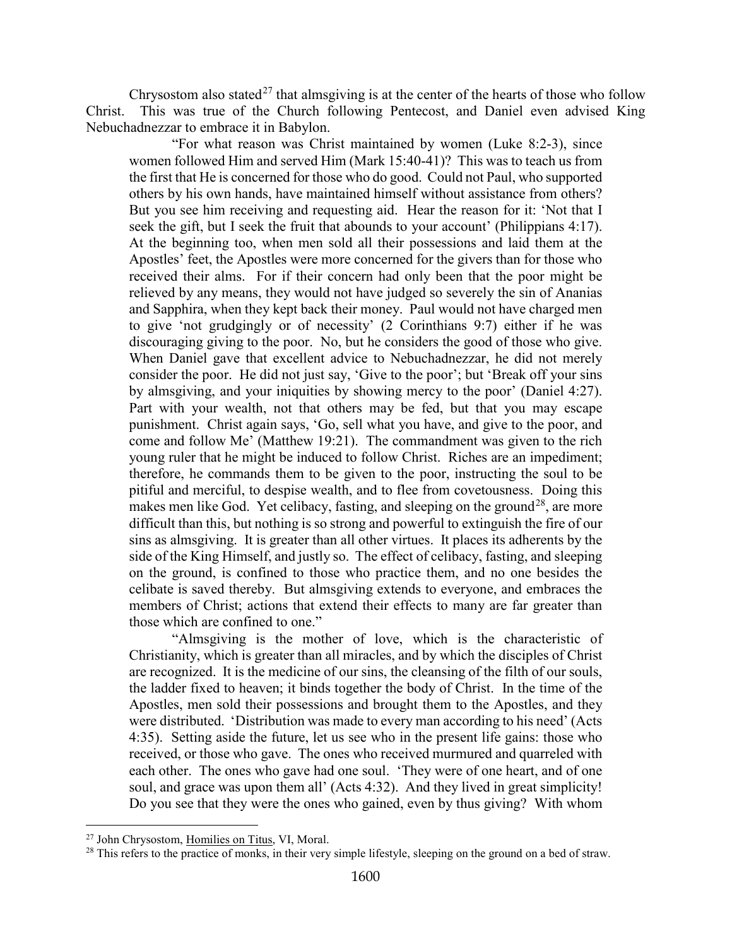Chrysostom also stated<sup>[27](#page-14-0)</sup> that almsgiving is at the center of the hearts of those who follow Christ. This was true of the Church following Pentecost, and Daniel even advised King Nebuchadnezzar to embrace it in Babylon.

"For what reason was Christ maintained by women (Luke 8:2-3), since women followed Him and served Him (Mark 15:40-41)? This was to teach us from the first that He is concerned for those who do good. Could not Paul, who supported others by his own hands, have maintained himself without assistance from others? But you see him receiving and requesting aid. Hear the reason for it: 'Not that I seek the gift, but I seek the fruit that abounds to your account' (Philippians 4:17). At the beginning too, when men sold all their possessions and laid them at the Apostles' feet, the Apostles were more concerned for the givers than for those who received their alms. For if their concern had only been that the poor might be relieved by any means, they would not have judged so severely the sin of Ananias and Sapphira, when they kept back their money. Paul would not have charged men to give 'not grudgingly or of necessity' (2 Corinthians 9:7) either if he was discouraging giving to the poor. No, but he considers the good of those who give. When Daniel gave that excellent advice to Nebuchadnezzar, he did not merely consider the poor. He did not just say, 'Give to the poor'; but 'Break off your sins by almsgiving, and your iniquities by showing mercy to the poor' (Daniel 4:27). Part with your wealth, not that others may be fed, but that you may escape punishment. Christ again says, 'Go, sell what you have, and give to the poor, and come and follow Me' (Matthew 19:21). The commandment was given to the rich young ruler that he might be induced to follow Christ. Riches are an impediment; therefore, he commands them to be given to the poor, instructing the soul to be pitiful and merciful, to despise wealth, and to flee from covetousness. Doing this makes men like God. Yet celibacy, fasting, and sleeping on the ground<sup>[28](#page-14-1)</sup>, are more difficult than this, but nothing is so strong and powerful to extinguish the fire of our sins as almsgiving. It is greater than all other virtues. It places its adherents by the side of the King Himself, and justly so. The effect of celibacy, fasting, and sleeping on the ground, is confined to those who practice them, and no one besides the celibate is saved thereby. But almsgiving extends to everyone, and embraces the members of Christ; actions that extend their effects to many are far greater than those which are confined to one."

"Almsgiving is the mother of love, which is the characteristic of Christianity, which is greater than all miracles, and by which the disciples of Christ are recognized. It is the medicine of our sins, the cleansing of the filth of our souls, the ladder fixed to heaven; it binds together the body of Christ. In the time of the Apostles, men sold their possessions and brought them to the Apostles, and they were distributed. 'Distribution was made to every man according to his need' (Acts 4:35). Setting aside the future, let us see who in the present life gains: those who received, or those who gave. The ones who received murmured and quarreled with each other. The ones who gave had one soul. 'They were of one heart, and of one soul, and grace was upon them all' (Acts 4:32). And they lived in great simplicity! Do you see that they were the ones who gained, even by thus giving? With whom

<span id="page-14-0"></span><sup>27</sup> John Chrysostom, Homilies on Titus, VI, Moral.

<span id="page-14-1"></span><sup>&</sup>lt;sup>28</sup> This refers to the practice of monks, in their very simple lifestyle, sleeping on the ground on a bed of straw.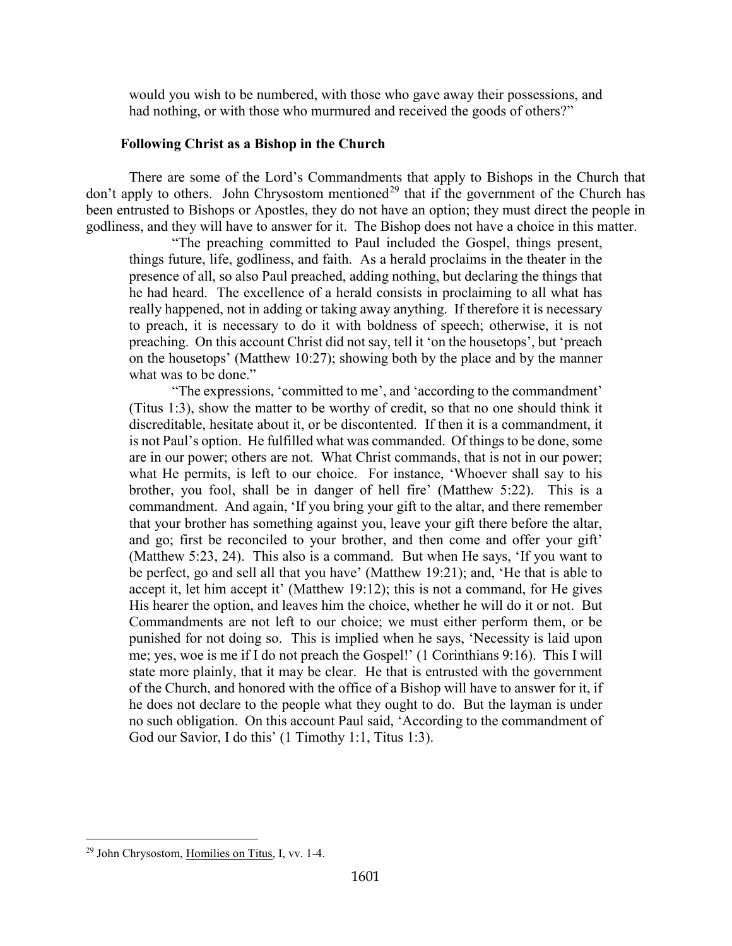would you wish to be numbered, with those who gave away their possessions, and had nothing, or with those who murmured and received the goods of others?"

## **Following Christ as a Bishop in the Church**

<span id="page-15-0"></span>There are some of the Lord's Commandments that apply to Bishops in the Church that don't apply to others. John Chrysostom mentioned<sup>[29](#page-15-2)</sup> that if the government of the Church has been entrusted to Bishops or Apostles, they do not have an option; they must direct the people in godliness, and they will have to answer for it. The Bishop does not have a choice in this matter.

"The preaching committed to Paul included the Gospel, things present, things future, life, godliness, and faith. As a herald proclaims in the theater in the presence of all, so also Paul preached, adding nothing, but declaring the things that he had heard. The excellence of a herald consists in proclaiming to all what has really happened, not in adding or taking away anything. If therefore it is necessary to preach, it is necessary to do it with boldness of speech; otherwise, it is not preaching. On this account Christ did not say, tell it 'on the housetops', but 'preach on the housetops' (Matthew 10:27); showing both by the place and by the manner what was to be done."

"The expressions, 'committed to me', and 'according to the commandment' (Titus 1:3), show the matter to be worthy of credit, so that no one should think it discreditable, hesitate about it, or be discontented. If then it is a commandment, it is not Paul's option. He fulfilled what was commanded. Of things to be done, some are in our power; others are not. What Christ commands, that is not in our power; what He permits, is left to our choice. For instance, 'Whoever shall say to his brother, you fool, shall be in danger of hell fire' (Matthew 5:22). This is a commandment. And again, 'If you bring your gift to the altar, and there remember that your brother has something against you, leave your gift there before the altar, and go; first be reconciled to your brother, and then come and offer your gift' (Matthew 5:23, 24). This also is a command. But when He says, 'If you want to be perfect, go and sell all that you have' (Matthew 19:21); and, 'He that is able to accept it, let him accept it' (Matthew 19:12); this is not a command, for He gives His hearer the option, and leaves him the choice, whether he will do it or not. But Commandments are not left to our choice; we must either perform them, or be punished for not doing so. This is implied when he says, 'Necessity is laid upon me; yes, woe is me if I do not preach the Gospel!' (1 Corinthians 9:16). This I will state more plainly, that it may be clear. He that is entrusted with the government of the Church, and honored with the office of a Bishop will have to answer for it, if he does not declare to the people what they ought to do. But the layman is under no such obligation. On this account Paul said, 'According to the commandment of God our Savior, I do this' (1 Timothy 1:1, Titus 1:3).

<span id="page-15-2"></span><span id="page-15-1"></span><sup>29</sup> John Chrysostom, Homilies on Titus, I, vv. 1-4.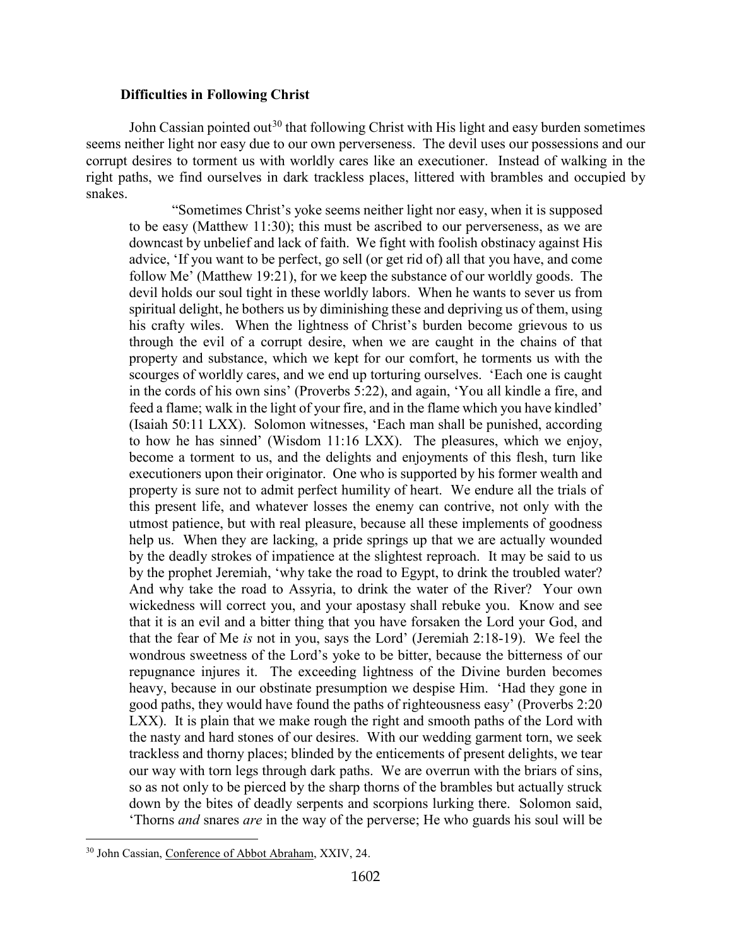### **Difficulties in Following Christ**

John Cassian pointed out<sup>[30](#page-16-0)</sup> that following Christ with His light and easy burden sometimes seems neither light nor easy due to our own perverseness. The devil uses our possessions and our corrupt desires to torment us with worldly cares like an executioner. Instead of walking in the right paths, we find ourselves in dark trackless places, littered with brambles and occupied by snakes.

"Sometimes Christ's yoke seems neither light nor easy, when it is supposed to be easy (Matthew 11:30); this must be ascribed to our perverseness, as we are downcast by unbelief and lack of faith. We fight with foolish obstinacy against His advice, 'If you want to be perfect, go sell (or get rid of) all that you have, and come follow Me' (Matthew 19:21), for we keep the substance of our worldly goods. The devil holds our soul tight in these worldly labors. When he wants to sever us from spiritual delight, he bothers us by diminishing these and depriving us of them, using his crafty wiles. When the lightness of Christ's burden become grievous to us through the evil of a corrupt desire, when we are caught in the chains of that property and substance, which we kept for our comfort, he torments us with the scourges of worldly cares, and we end up torturing ourselves. 'Each one is caught in the cords of his own sins' (Proverbs 5:22), and again, 'You all kindle a fire, and feed a flame; walk in the light of your fire, and in the flame which you have kindled' (Isaiah 50:11 LXX). Solomon witnesses, 'Each man shall be punished, according to how he has sinned' (Wisdom 11:16 LXX). The pleasures, which we enjoy, become a torment to us, and the delights and enjoyments of this flesh, turn like executioners upon their originator. One who is supported by his former wealth and property is sure not to admit perfect humility of heart. We endure all the trials of this present life, and whatever losses the enemy can contrive, not only with the utmost patience, but with real pleasure, because all these implements of goodness help us. When they are lacking, a pride springs up that we are actually wounded by the deadly strokes of impatience at the slightest reproach. It may be said to us by the prophet Jeremiah, 'why take the road to Egypt, to drink the troubled water? And why take the road to Assyria, to drink the water of the River? Your own wickedness will correct you, and your apostasy shall rebuke you. Know and see that it is an evil and a bitter thing that you have forsaken the Lord your God, and that the fear of Me *is* not in you, says the Lord' (Jeremiah 2:18-19). We feel the wondrous sweetness of the Lord's yoke to be bitter, because the bitterness of our repugnance injures it. The exceeding lightness of the Divine burden becomes heavy, because in our obstinate presumption we despise Him. 'Had they gone in good paths, they would have found the paths of righteousness easy' (Proverbs 2:20 LXX). It is plain that we make rough the right and smooth paths of the Lord with the nasty and hard stones of our desires. With our wedding garment torn, we seek trackless and thorny places; blinded by the enticements of present delights, we tear our way with torn legs through dark paths. We are overrun with the briars of sins, so as not only to be pierced by the sharp thorns of the brambles but actually struck down by the bites of deadly serpents and scorpions lurking there. Solomon said, 'Thorns *and* snares *are* in the way of the perverse; He who guards his soul will be

<span id="page-16-0"></span><sup>30</sup> John Cassian, Conference of Abbot Abraham, XXIV, 24.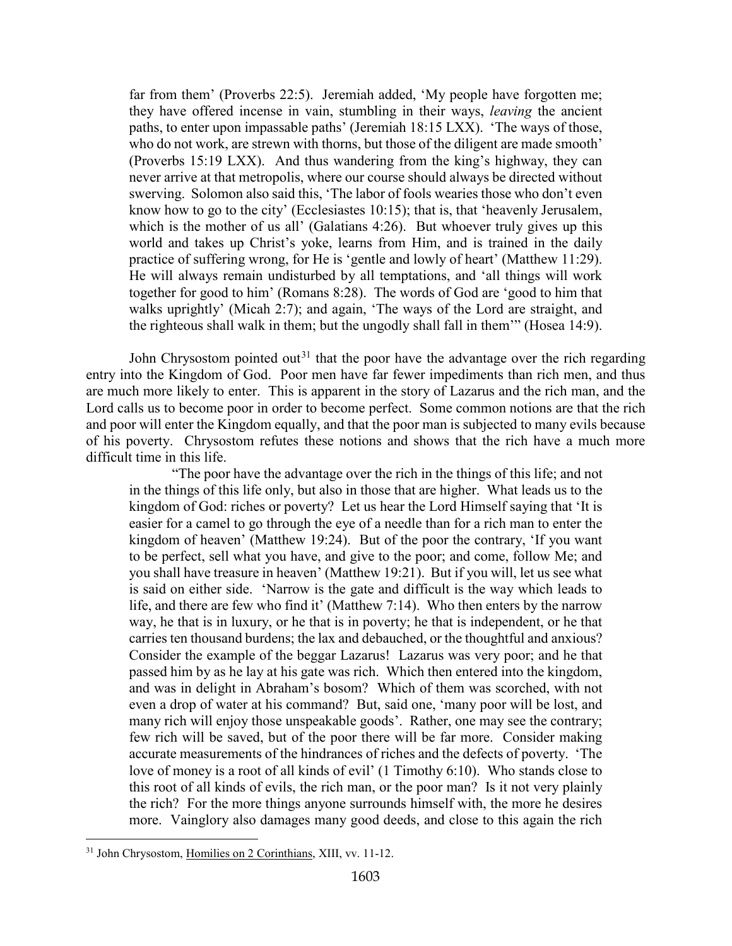far from them' (Proverbs 22:5). Jeremiah added, 'My people have forgotten me; they have offered incense in vain, stumbling in their ways, *leaving* the ancient paths, to enter upon impassable paths' (Jeremiah 18:15 LXX). 'The ways of those, who do not work, are strewn with thorns, but those of the diligent are made smooth' (Proverbs 15:19 LXX). And thus wandering from the king's highway, they can never arrive at that metropolis, where our course should always be directed without swerving. Solomon also said this, 'The labor of fools wearies those who don't even know how to go to the city' (Ecclesiastes 10:15); that is, that 'heavenly Jerusalem, which is the mother of us all' (Galatians 4:26). But whoever truly gives up this world and takes up Christ's yoke, learns from Him, and is trained in the daily practice of suffering wrong, for He is 'gentle and lowly of heart' (Matthew 11:29). He will always remain undisturbed by all temptations, and 'all things will work together for good to him' (Romans 8:28). The words of God are 'good to him that walks uprightly' (Micah 2:7); and again, 'The ways of the Lord are straight, and the righteous shall walk in them; but the ungodly shall fall in them'" (Hosea 14:9).

John Chrysostom pointed out<sup>[31](#page-17-0)</sup> that the poor have the advantage over the rich regarding entry into the Kingdom of God. Poor men have far fewer impediments than rich men, and thus are much more likely to enter. This is apparent in the story of Lazarus and the rich man, and the Lord calls us to become poor in order to become perfect. Some common notions are that the rich and poor will enter the Kingdom equally, and that the poor man is subjected to many evils because of his poverty. Chrysostom refutes these notions and shows that the rich have a much more difficult time in this life.

"The poor have the advantage over the rich in the things of this life; and not in the things of this life only, but also in those that are higher. What leads us to the kingdom of God: riches or poverty? Let us hear the Lord Himself saying that 'It is easier for a camel to go through the eye of a needle than for a rich man to enter the kingdom of heaven' (Matthew 19:24). But of the poor the contrary, 'If you want to be perfect, sell what you have, and give to the poor; and come, follow Me; and you shall have treasure in heaven' (Matthew 19:21). But if you will, let us see what is said on either side. 'Narrow is the gate and difficult is the way which leads to life, and there are few who find it' (Matthew 7:14). Who then enters by the narrow way, he that is in luxury, or he that is in poverty; he that is independent, or he that carries ten thousand burdens; the lax and debauched, or the thoughtful and anxious? Consider the example of the beggar Lazarus! Lazarus was very poor; and he that passed him by as he lay at his gate was rich. Which then entered into the kingdom, and was in delight in Abraham's bosom? Which of them was scorched, with not even a drop of water at his command? But, said one, 'many poor will be lost, and many rich will enjoy those unspeakable goods'. Rather, one may see the contrary; few rich will be saved, but of the poor there will be far more. Consider making accurate measurements of the hindrances of riches and the defects of poverty. 'The love of money is a root of all kinds of evil' (1 Timothy 6:10). Who stands close to this root of all kinds of evils, the rich man, or the poor man? Is it not very plainly the rich? For the more things anyone surrounds himself with, the more he desires more. Vainglory also damages many good deeds, and close to this again the rich

<span id="page-17-0"></span><sup>31</sup> John Chrysostom, Homilies on 2 Corinthians, XIII, vv. 11-12.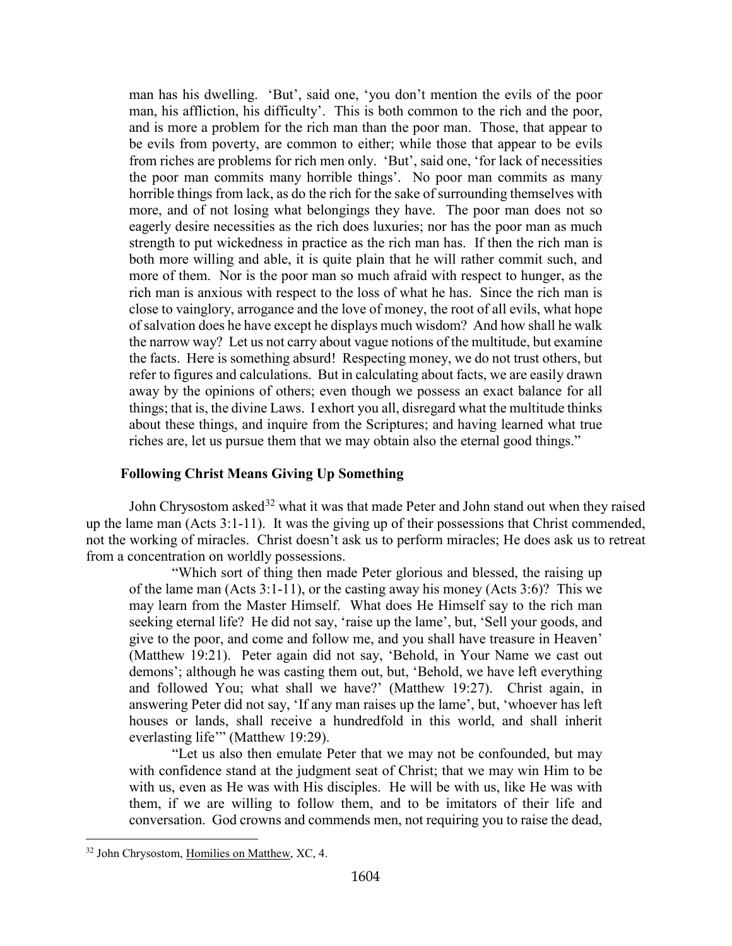man has his dwelling. 'But', said one, 'you don't mention the evils of the poor man, his affliction, his difficulty'. This is both common to the rich and the poor, and is more a problem for the rich man than the poor man. Those, that appear to be evils from poverty, are common to either; while those that appear to be evils from riches are problems for rich men only. 'But', said one, 'for lack of necessities the poor man commits many horrible things'. No poor man commits as many horrible things from lack, as do the rich for the sake of surrounding themselves with more, and of not losing what belongings they have. The poor man does not so eagerly desire necessities as the rich does luxuries; nor has the poor man as much strength to put wickedness in practice as the rich man has. If then the rich man is both more willing and able, it is quite plain that he will rather commit such, and more of them. Nor is the poor man so much afraid with respect to hunger, as the rich man is anxious with respect to the loss of what he has. Since the rich man is close to vainglory, arrogance and the love of money, the root of all evils, what hope of salvation does he have except he displays much wisdom? And how shall he walk the narrow way? Let us not carry about vague notions of the multitude, but examine the facts. Here is something absurd! Respecting money, we do not trust others, but refer to figures and calculations. But in calculating about facts, we are easily drawn away by the opinions of others; even though we possess an exact balance for all things; that is, the divine Laws. I exhort you all, disregard what the multitude thinks about these things, and inquire from the Scriptures; and having learned what true riches are, let us pursue them that we may obtain also the eternal good things."

### **Following Christ Means Giving Up Something**

<span id="page-18-0"></span>John Chrysostom asked<sup>[32](#page-18-1)</sup> what it was that made Peter and John stand out when they raised up the lame man (Acts 3:1-11). It was the giving up of their possessions that Christ commended, not the working of miracles. Christ doesn't ask us to perform miracles; He does ask us to retreat from a concentration on worldly possessions.

"Which sort of thing then made Peter glorious and blessed, the raising up of the lame man (Acts  $3:1-11$ ), or the casting away his money (Acts  $3:6$ )? This we may learn from the Master Himself. What does He Himself say to the rich man seeking eternal life? He did not say, 'raise up the lame', but, 'Sell your goods, and give to the poor, and come and follow me, and you shall have treasure in Heaven' (Matthew 19:21). Peter again did not say, 'Behold, in Your Name we cast out demons'; although he was casting them out, but, 'Behold, we have left everything and followed You; what shall we have?' (Matthew 19:27). Christ again, in answering Peter did not say, 'If any man raises up the lame', but, 'whoever has left houses or lands, shall receive a hundredfold in this world, and shall inherit everlasting life"" (Matthew 19:29).

"Let us also then emulate Peter that we may not be confounded, but may with confidence stand at the judgment seat of Christ; that we may win Him to be with us, even as He was with His disciples. He will be with us, like He was with them, if we are willing to follow them, and to be imitators of their life and conversation. God crowns and commends men, not requiring you to raise the dead,

<span id="page-18-1"></span><sup>32</sup> John Chrysostom, Homilies on Matthew, XC, 4.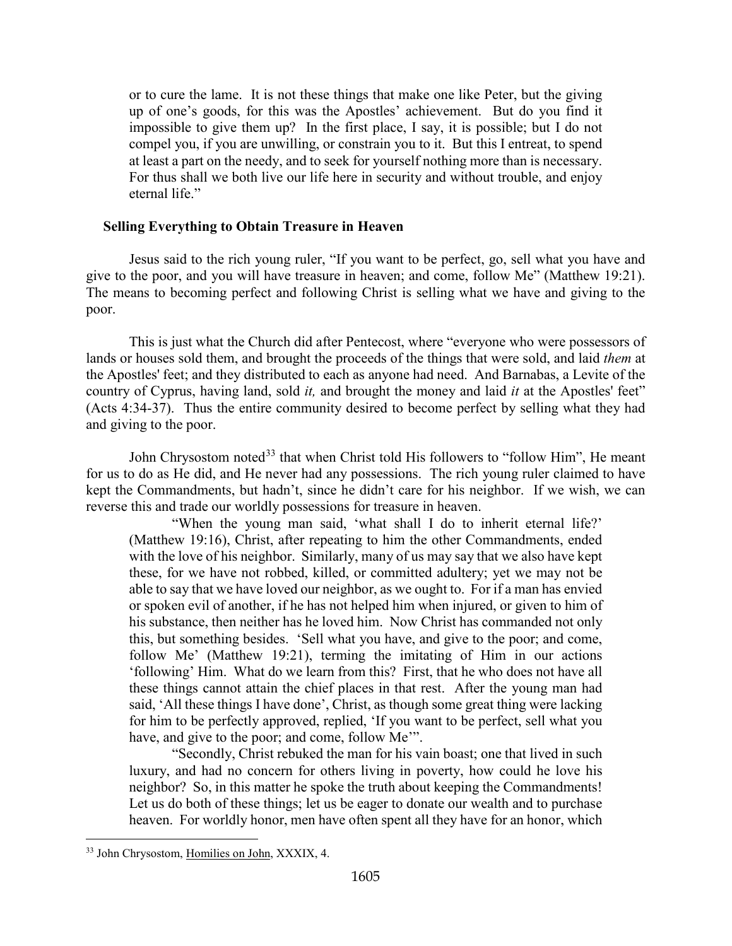or to cure the lame. It is not these things that make one like Peter, but the giving up of one's goods, for this was the Apostles' achievement. But do you find it impossible to give them up? In the first place, I say, it is possible; but I do not compel you, if you are unwilling, or constrain you to it. But this I entreat, to spend at least a part on the needy, and to seek for yourself nothing more than is necessary. For thus shall we both live our life here in security and without trouble, and enjoy eternal life."

# <span id="page-19-0"></span>**Selling Everything to Obtain Treasure in Heaven**

Jesus said to the rich young ruler, "If you want to be perfect, go, sell what you have and give to the poor, and you will have treasure in heaven; and come, follow Me" (Matthew 19:21). The means to becoming perfect and following Christ is selling what we have and giving to the poor.

This is just what the Church did after Pentecost, where "everyone who were possessors of lands or houses sold them, and brought the proceeds of the things that were sold, and laid *them* at the Apostles' feet; and they distributed to each as anyone had need. And Barnabas, a Levite of the country of Cyprus, having land, sold *it,* and brought the money and laid *it* at the Apostles' feet" (Acts 4:34-37). Thus the entire community desired to become perfect by selling what they had and giving to the poor.

John Chrysostom noted<sup>[33](#page-19-1)</sup> that when Christ told His followers to "follow Him", He meant for us to do as He did, and He never had any possessions. The rich young ruler claimed to have kept the Commandments, but hadn't, since he didn't care for his neighbor. If we wish, we can reverse this and trade our worldly possessions for treasure in heaven.

"When the young man said, 'what shall I do to inherit eternal life?' (Matthew 19:16), Christ, after repeating to him the other Commandments, ended with the love of his neighbor. Similarly, many of us may say that we also have kept these, for we have not robbed, killed, or committed adultery; yet we may not be able to say that we have loved our neighbor, as we ought to. For if a man has envied or spoken evil of another, if he has not helped him when injured, or given to him of his substance, then neither has he loved him. Now Christ has commanded not only this, but something besides. 'Sell what you have, and give to the poor; and come, follow Me' (Matthew 19:21), terming the imitating of Him in our actions 'following' Him. What do we learn from this? First, that he who does not have all these things cannot attain the chief places in that rest. After the young man had said, 'All these things I have done', Christ, as though some great thing were lacking for him to be perfectly approved, replied, 'If you want to be perfect, sell what you have, and give to the poor; and come, follow Me'".

"Secondly, Christ rebuked the man for his vain boast; one that lived in such luxury, and had no concern for others living in poverty, how could he love his neighbor? So, in this matter he spoke the truth about keeping the Commandments! Let us do both of these things; let us be eager to donate our wealth and to purchase heaven. For worldly honor, men have often spent all they have for an honor, which

<span id="page-19-1"></span><sup>33</sup> John Chrysostom, Homilies on John, XXXIX, 4.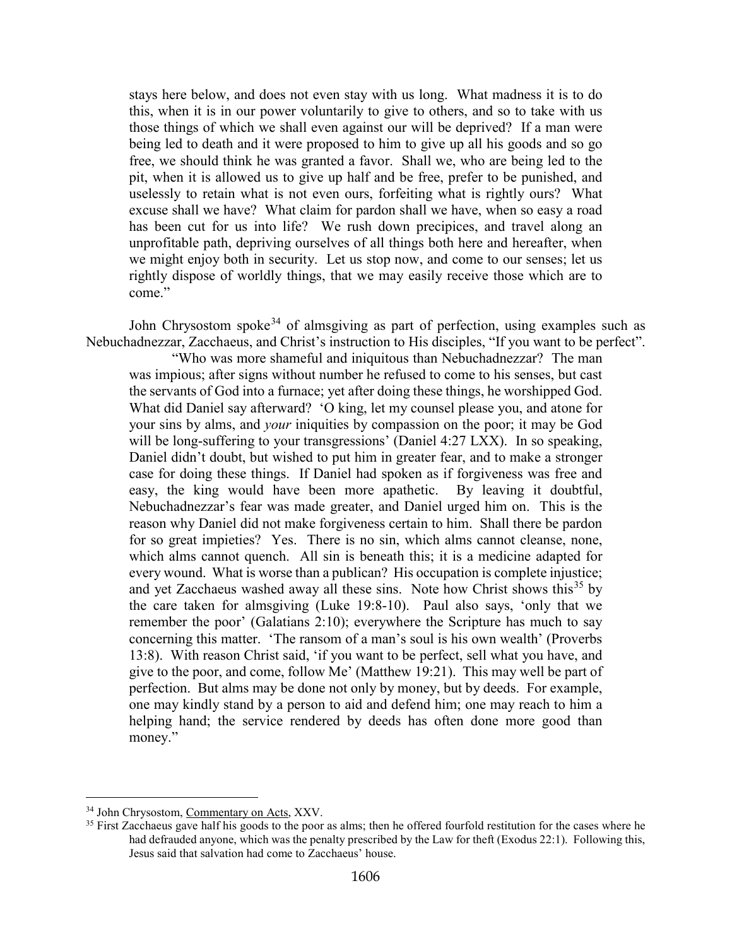stays here below, and does not even stay with us long. What madness it is to do this, when it is in our power voluntarily to give to others, and so to take with us those things of which we shall even against our will be deprived? If a man were being led to death and it were proposed to him to give up all his goods and so go free, we should think he was granted a favor. Shall we, who are being led to the pit, when it is allowed us to give up half and be free, prefer to be punished, and uselessly to retain what is not even ours, forfeiting what is rightly ours? What excuse shall we have? What claim for pardon shall we have, when so easy a road has been cut for us into life? We rush down precipices, and travel along an unprofitable path, depriving ourselves of all things both here and hereafter, when we might enjoy both in security. Let us stop now, and come to our senses; let us rightly dispose of worldly things, that we may easily receive those which are to come."

John Chrysostom spoke<sup>[34](#page-20-0)</sup> of almsgiving as part of perfection, using examples such as Nebuchadnezzar, Zacchaeus, and Christ's instruction to His disciples, "If you want to be perfect".

"Who was more shameful and iniquitous than Nebuchadnezzar? The man was impious; after signs without number he refused to come to his senses, but cast the servants of God into a furnace; yet after doing these things, he worshipped God. What did Daniel say afterward? 'O king, let my counsel please you, and atone for your sins by alms, and *your* iniquities by compassion on the poor; it may be God will be long-suffering to your transgressions' (Daniel 4:27 LXX). In so speaking, Daniel didn't doubt, but wished to put him in greater fear, and to make a stronger case for doing these things. If Daniel had spoken as if forgiveness was free and easy, the king would have been more apathetic. By leaving it doubtful, Nebuchadnezzar's fear was made greater, and Daniel urged him on. This is the reason why Daniel did not make forgiveness certain to him. Shall there be pardon for so great impieties? Yes. There is no sin, which alms cannot cleanse, none, which alms cannot quench. All sin is beneath this; it is a medicine adapted for every wound. What is worse than a publican? His occupation is complete injustice; and yet Zacchaeus washed away all these sins. Note how Christ shows this<sup>[35](#page-20-1)</sup> by the care taken for almsgiving (Luke 19:8-10). Paul also says, 'only that we remember the poor' (Galatians 2:10); everywhere the Scripture has much to say concerning this matter. 'The ransom of a man's soul is his own wealth' (Proverbs 13:8). With reason Christ said, 'if you want to be perfect, sell what you have, and give to the poor, and come, follow Me' (Matthew 19:21). This may well be part of perfection. But alms may be done not only by money, but by deeds. For example, one may kindly stand by a person to aid and defend him; one may reach to him a helping hand; the service rendered by deeds has often done more good than money."

<span id="page-20-0"></span><sup>34</sup> John Chrysostom, Commentary on Acts, XXV.

<span id="page-20-1"></span><sup>&</sup>lt;sup>35</sup> First Zacchaeus gave half his goods to the poor as alms; then he offered fourfold restitution for the cases where he had defrauded anyone, which was the penalty prescribed by the Law for theft (Exodus 22:1). Following this, Jesus said that salvation had come to Zacchaeus' house.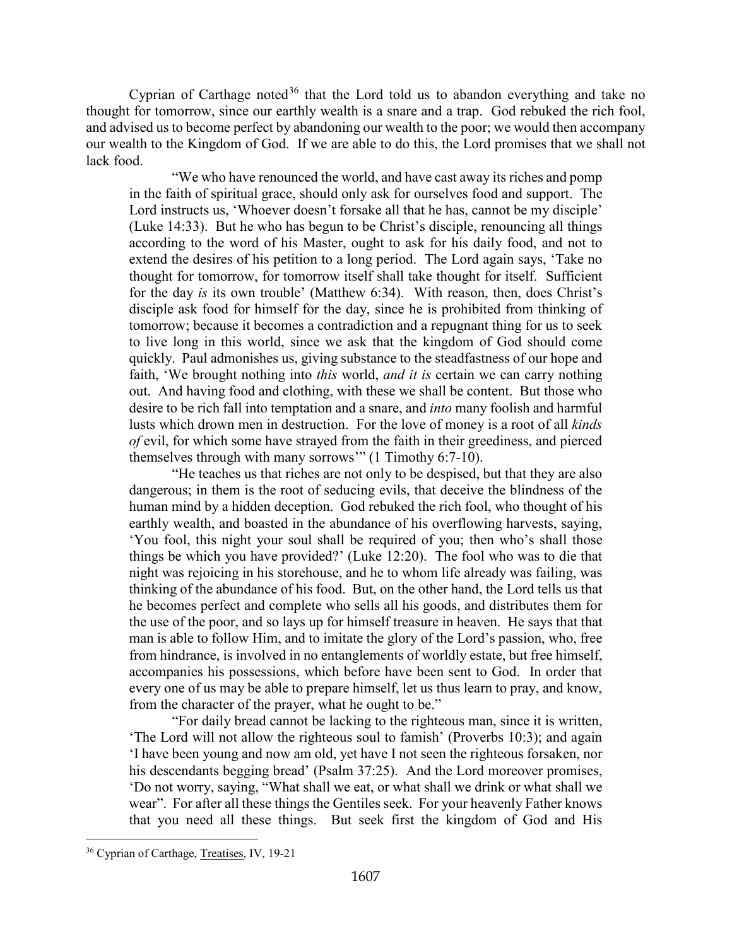Cyprian of Carthage noted<sup>[36](#page-21-0)</sup> that the Lord told us to abandon everything and take no thought for tomorrow, since our earthly wealth is a snare and a trap. God rebuked the rich fool, and advised us to become perfect by abandoning our wealth to the poor; we would then accompany our wealth to the Kingdom of God. If we are able to do this, the Lord promises that we shall not lack food.

"We who have renounced the world, and have cast away its riches and pomp in the faith of spiritual grace, should only ask for ourselves food and support. The Lord instructs us, 'Whoever doesn't forsake all that he has, cannot be my disciple' (Luke 14:33). But he who has begun to be Christ's disciple, renouncing all things according to the word of his Master, ought to ask for his daily food, and not to extend the desires of his petition to a long period. The Lord again says, 'Take no thought for tomorrow, for tomorrow itself shall take thought for itself. Sufficient for the day *is* its own trouble' (Matthew 6:34). With reason, then, does Christ's disciple ask food for himself for the day, since he is prohibited from thinking of tomorrow; because it becomes a contradiction and a repugnant thing for us to seek to live long in this world, since we ask that the kingdom of God should come quickly. Paul admonishes us, giving substance to the steadfastness of our hope and faith, 'We brought nothing into *this* world, *and it is* certain we can carry nothing out. And having food and clothing, with these we shall be content. But those who desire to be rich fall into temptation and a snare, and *into* many foolish and harmful lusts which drown men in destruction. For the love of money is a root of all *kinds of* evil, for which some have strayed from the faith in their greediness, and pierced themselves through with many sorrows'" (1 Timothy 6:7-10).

"He teaches us that riches are not only to be despised, but that they are also dangerous; in them is the root of seducing evils, that deceive the blindness of the human mind by a hidden deception. God rebuked the rich fool, who thought of his earthly wealth, and boasted in the abundance of his overflowing harvests, saying, 'You fool, this night your soul shall be required of you; then who's shall those things be which you have provided?' (Luke 12:20). The fool who was to die that night was rejoicing in his storehouse, and he to whom life already was failing, was thinking of the abundance of his food. But, on the other hand, the Lord tells us that he becomes perfect and complete who sells all his goods, and distributes them for the use of the poor, and so lays up for himself treasure in heaven. He says that that man is able to follow Him, and to imitate the glory of the Lord's passion, who, free from hindrance, is involved in no entanglements of worldly estate, but free himself, accompanies his possessions, which before have been sent to God. In order that every one of us may be able to prepare himself, let us thus learn to pray, and know, from the character of the prayer, what he ought to be."

"For daily bread cannot be lacking to the righteous man, since it is written, 'The Lord will not allow the righteous soul to famish' (Proverbs 10:3); and again 'I have been young and now am old, yet have I not seen the righteous forsaken, nor his descendants begging bread' (Psalm 37:25). And the Lord moreover promises, 'Do not worry, saying, "What shall we eat, or what shall we drink or what shall we wear". For after all these things the Gentiles seek. For your heavenly Father knows that you need all these things. But seek first the kingdom of God and His

<span id="page-21-0"></span><sup>36</sup> Cyprian of Carthage, Treatises, IV, 19-21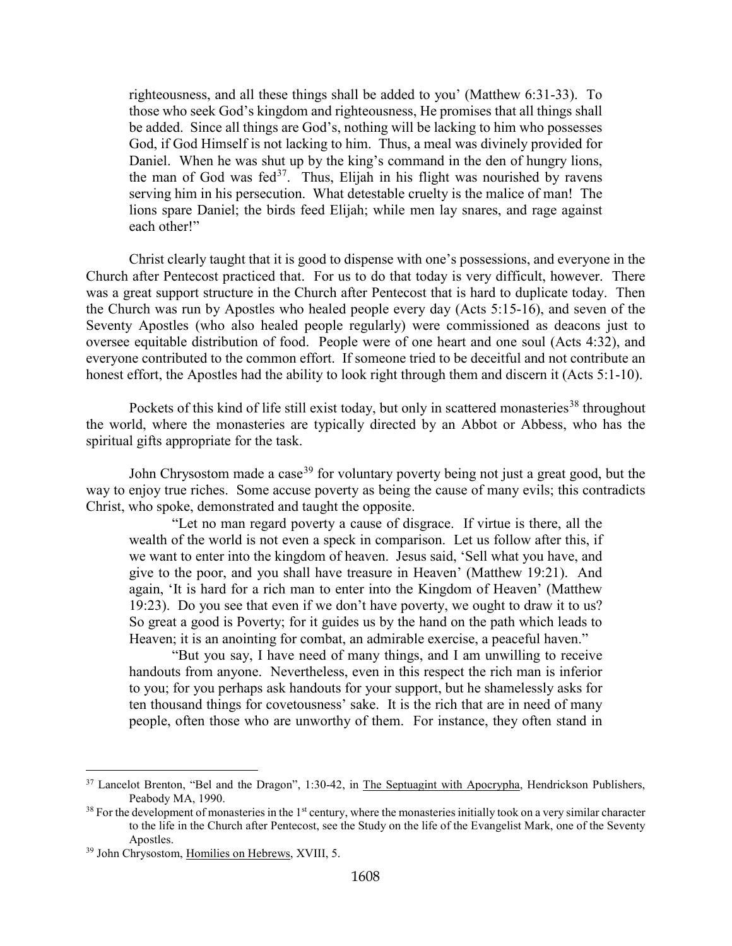righteousness, and all these things shall be added to you' (Matthew 6:31-33). To those who seek God's kingdom and righteousness, He promises that all things shall be added. Since all things are God's, nothing will be lacking to him who possesses God, if God Himself is not lacking to him. Thus, a meal was divinely provided for Daniel. When he was shut up by the king's command in the den of hungry lions, the man of God was fed<sup>[37](#page-22-0)</sup>. Thus, Elijah in his flight was nourished by ravens serving him in his persecution. What detestable cruelty is the malice of man! The lions spare Daniel; the birds feed Elijah; while men lay snares, and rage against each other!"

Christ clearly taught that it is good to dispense with one's possessions, and everyone in the Church after Pentecost practiced that. For us to do that today is very difficult, however. There was a great support structure in the Church after Pentecost that is hard to duplicate today. Then the Church was run by Apostles who healed people every day (Acts 5:15-16), and seven of the Seventy Apostles (who also healed people regularly) were commissioned as deacons just to oversee equitable distribution of food. People were of one heart and one soul (Acts 4:32), and everyone contributed to the common effort. If someone tried to be deceitful and not contribute an honest effort, the Apostles had the ability to look right through them and discern it (Acts 5:1-10).

Pockets of this kind of life still exist today, but only in scattered monasteries<sup>[38](#page-22-1)</sup> throughout the world, where the monasteries are typically directed by an Abbot or Abbess, who has the spiritual gifts appropriate for the task.

John Chrysostom made a case<sup>[39](#page-22-2)</sup> for voluntary poverty being not just a great good, but the way to enjoy true riches. Some accuse poverty as being the cause of many evils; this contradicts Christ, who spoke, demonstrated and taught the opposite.

"Let no man regard poverty a cause of disgrace. If virtue is there, all the wealth of the world is not even a speck in comparison. Let us follow after this, if we want to enter into the kingdom of heaven. Jesus said, 'Sell what you have, and give to the poor, and you shall have treasure in Heaven' (Matthew 19:21). And again, 'It is hard for a rich man to enter into the Kingdom of Heaven' (Matthew 19:23). Do you see that even if we don't have poverty, we ought to draw it to us? So great a good is Poverty; for it guides us by the hand on the path which leads to Heaven; it is an anointing for combat, an admirable exercise, a peaceful haven."

"But you say, I have need of many things, and I am unwilling to receive handouts from anyone. Nevertheless, even in this respect the rich man is inferior to you; for you perhaps ask handouts for your support, but he shamelessly asks for ten thousand things for covetousness' sake. It is the rich that are in need of many people, often those who are unworthy of them. For instance, they often stand in

<span id="page-22-0"></span><sup>37</sup> Lancelot Brenton, "Bel and the Dragon", 1:30-42, in The Septuagint with Apocrypha, Hendrickson Publishers, Peabody MA, 1990.

<span id="page-22-1"></span> $38$  For the development of monasteries in the  $1<sup>st</sup>$  century, where the monasteries initially took on a very similar character to the life in the Church after Pentecost, see the Study on the life of the Evangelist Mark, one of the Seventy Apostles.

<span id="page-22-2"></span><sup>&</sup>lt;sup>39</sup> John Chrysostom, Homilies on Hebrews, XVIII, 5.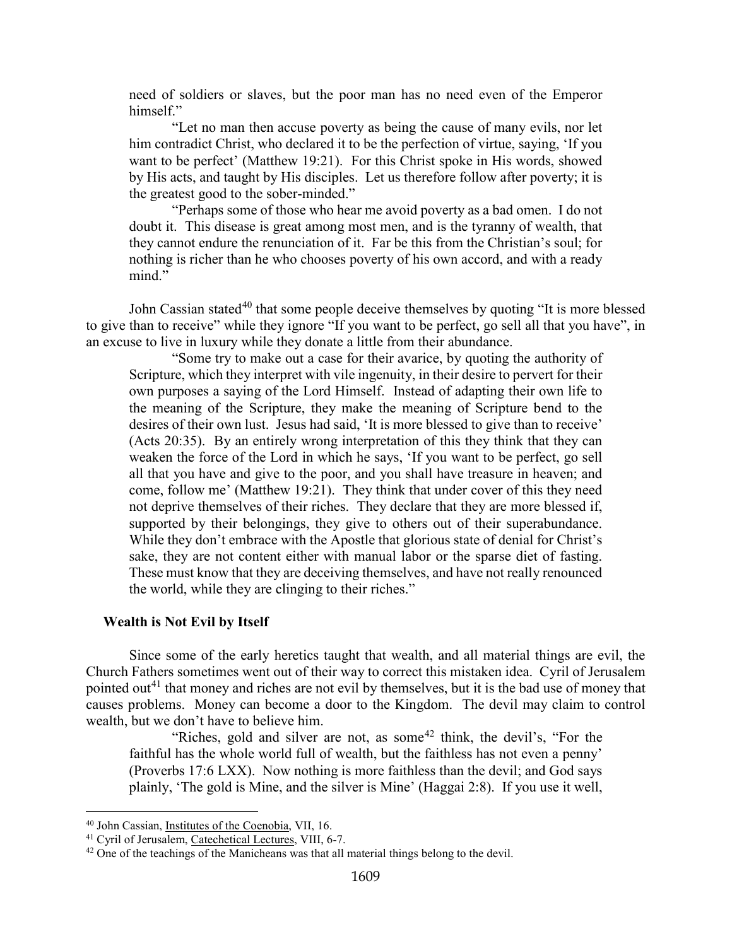need of soldiers or slaves, but the poor man has no need even of the Emperor himself."

"Let no man then accuse poverty as being the cause of many evils, nor let him contradict Christ, who declared it to be the perfection of virtue, saying, 'If you want to be perfect' (Matthew 19:21). For this Christ spoke in His words, showed by His acts, and taught by His disciples. Let us therefore follow after poverty; it is the greatest good to the sober-minded."

"Perhaps some of those who hear me avoid poverty as a bad omen. I do not doubt it. This disease is great among most men, and is the tyranny of wealth, that they cannot endure the renunciation of it. Far be this from the Christian's soul; for nothing is richer than he who chooses poverty of his own accord, and with a ready mind."

John Cassian stated<sup>[40](#page-23-1)</sup> that some people deceive themselves by quoting "It is more blessed to give than to receive" while they ignore "If you want to be perfect, go sell all that you have", in an excuse to live in luxury while they donate a little from their abundance.

"Some try to make out a case for their avarice, by quoting the authority of Scripture, which they interpret with vile ingenuity, in their desire to pervert for their own purposes a saying of the Lord Himself. Instead of adapting their own life to the meaning of the Scripture, they make the meaning of Scripture bend to the desires of their own lust. Jesus had said, 'It is more blessed to give than to receive' (Acts 20:35). By an entirely wrong interpretation of this they think that they can weaken the force of the Lord in which he says, 'If you want to be perfect, go sell all that you have and give to the poor, and you shall have treasure in heaven; and come, follow me' (Matthew 19:21). They think that under cover of this they need not deprive themselves of their riches. They declare that they are more blessed if, supported by their belongings, they give to others out of their superabundance. While they don't embrace with the Apostle that glorious state of denial for Christ's sake, they are not content either with manual labor or the sparse diet of fasting. These must know that they are deceiving themselves, and have not really renounced the world, while they are clinging to their riches."

#### <span id="page-23-0"></span>**Wealth is Not Evil by Itself**

Since some of the early heretics taught that wealth, and all material things are evil, the Church Fathers sometimes went out of their way to correct this mistaken idea. Cyril of Jerusalem pointed out<sup>[41](#page-23-2)</sup> that money and riches are not evil by themselves, but it is the bad use of money that causes problems. Money can become a door to the Kingdom. The devil may claim to control wealth, but we don't have to believe him.

"Riches, gold and silver are not, as some<sup>[42](#page-23-3)</sup> think, the devil's, "For the faithful has the whole world full of wealth, but the faithless has not even a penny' (Proverbs 17:6 LXX). Now nothing is more faithless than the devil; and God says plainly, 'The gold is Mine, and the silver is Mine' (Haggai 2:8). If you use it well,

<span id="page-23-1"></span><sup>40</sup> John Cassian, Institutes of the Coenobia, VII, 16.

<span id="page-23-2"></span><sup>&</sup>lt;sup>41</sup> Cyril of Jerusalem, Catechetical Lectures, VIII, 6-7.

<span id="page-23-3"></span> $42$  One of the teachings of the Manicheans was that all material things belong to the devil.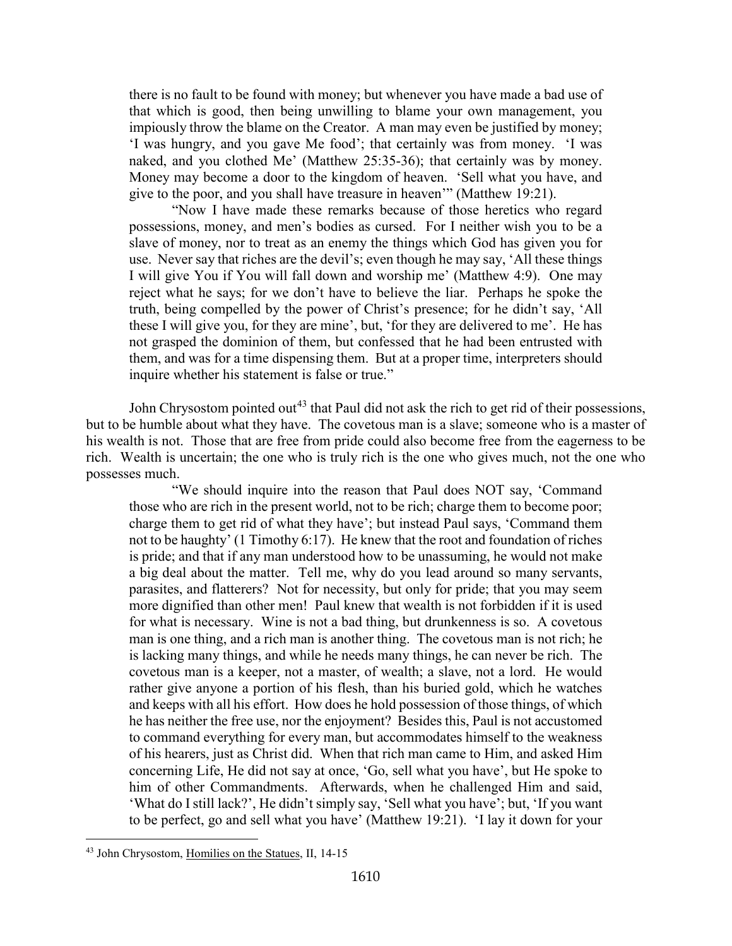there is no fault to be found with money; but whenever you have made a bad use of that which is good, then being unwilling to blame your own management, you impiously throw the blame on the Creator. A man may even be justified by money; 'I was hungry, and you gave Me food'; that certainly was from money. 'I was naked, and you clothed Me' (Matthew 25:35-36); that certainly was by money. Money may become a door to the kingdom of heaven. 'Sell what you have, and give to the poor, and you shall have treasure in heaven'" (Matthew 19:21).

"Now I have made these remarks because of those heretics who regard possessions, money, and men's bodies as cursed. For I neither wish you to be a slave of money, nor to treat as an enemy the things which God has given you for use. Never say that riches are the devil's; even though he may say, 'All these things I will give You if You will fall down and worship me' (Matthew 4:9). One may reject what he says; for we don't have to believe the liar. Perhaps he spoke the truth, being compelled by the power of Christ's presence; for he didn't say, 'All these I will give you, for they are mine', but, 'for they are delivered to me'. He has not grasped the dominion of them, but confessed that he had been entrusted with them, and was for a time dispensing them. But at a proper time, interpreters should inquire whether his statement is false or true."

John Chrysostom pointed out<sup>[43](#page-24-0)</sup> that Paul did not ask the rich to get rid of their possessions, but to be humble about what they have. The covetous man is a slave; someone who is a master of his wealth is not. Those that are free from pride could also become free from the eagerness to be rich. Wealth is uncertain; the one who is truly rich is the one who gives much, not the one who possesses much.

"We should inquire into the reason that Paul does NOT say, 'Command those who are rich in the present world, not to be rich; charge them to become poor; charge them to get rid of what they have'; but instead Paul says, 'Command them not to be haughty' (1 Timothy 6:17). He knew that the root and foundation of riches is pride; and that if any man understood how to be unassuming, he would not make a big deal about the matter. Tell me, why do you lead around so many servants, parasites, and flatterers? Not for necessity, but only for pride; that you may seem more dignified than other men! Paul knew that wealth is not forbidden if it is used for what is necessary. Wine is not a bad thing, but drunkenness is so. A covetous man is one thing, and a rich man is another thing. The covetous man is not rich; he is lacking many things, and while he needs many things, he can never be rich. The covetous man is a keeper, not a master, of wealth; a slave, not a lord. He would rather give anyone a portion of his flesh, than his buried gold, which he watches and keeps with all his effort. How does he hold possession of those things, of which he has neither the free use, nor the enjoyment? Besides this, Paul is not accustomed to command everything for every man, but accommodates himself to the weakness of his hearers, just as Christ did. When that rich man came to Him, and asked Him concerning Life, He did not say at once, 'Go, sell what you have', but He spoke to him of other Commandments. Afterwards, when he challenged Him and said, 'What do I still lack?', He didn't simply say, 'Sell what you have'; but, 'If you want to be perfect, go and sell what you have' (Matthew 19:21). 'I lay it down for your

<span id="page-24-0"></span><sup>43</sup> John Chrysostom, Homilies on the Statues, II, 14-15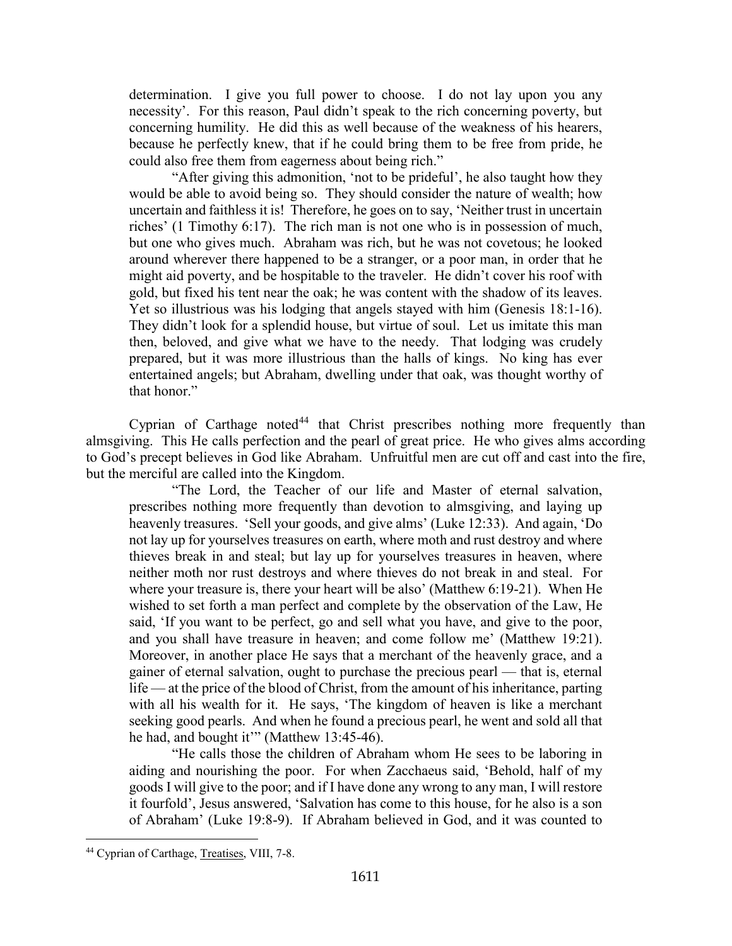determination. I give you full power to choose. I do not lay upon you any necessity'. For this reason, Paul didn't speak to the rich concerning poverty, but concerning humility. He did this as well because of the weakness of his hearers, because he perfectly knew, that if he could bring them to be free from pride, he could also free them from eagerness about being rich."

"After giving this admonition, 'not to be prideful', he also taught how they would be able to avoid being so. They should consider the nature of wealth; how uncertain and faithless it is! Therefore, he goes on to say, 'Neither trust in uncertain riches' (1 Timothy 6:17). The rich man is not one who is in possession of much, but one who gives much. Abraham was rich, but he was not covetous; he looked around wherever there happened to be a stranger, or a poor man, in order that he might aid poverty, and be hospitable to the traveler. He didn't cover his roof with gold, but fixed his tent near the oak; he was content with the shadow of its leaves. Yet so illustrious was his lodging that angels stayed with him (Genesis 18:1-16). They didn't look for a splendid house, but virtue of soul. Let us imitate this man then, beloved, and give what we have to the needy. That lodging was crudely prepared, but it was more illustrious than the halls of kings. No king has ever entertained angels; but Abraham, dwelling under that oak, was thought worthy of that honor."

Cyprian of Carthage noted<sup>[44](#page-25-0)</sup> that Christ prescribes nothing more frequently than almsgiving. This He calls perfection and the pearl of great price. He who gives alms according to God's precept believes in God like Abraham. Unfruitful men are cut off and cast into the fire, but the merciful are called into the Kingdom.

"The Lord, the Teacher of our life and Master of eternal salvation, prescribes nothing more frequently than devotion to almsgiving, and laying up heavenly treasures. 'Sell your goods, and give alms' (Luke 12:33). And again, 'Do not lay up for yourselves treasures on earth, where moth and rust destroy and where thieves break in and steal; but lay up for yourselves treasures in heaven, where neither moth nor rust destroys and where thieves do not break in and steal. For where your treasure is, there your heart will be also' (Matthew 6:19-21). When He wished to set forth a man perfect and complete by the observation of the Law, He said, 'If you want to be perfect, go and sell what you have, and give to the poor, and you shall have treasure in heaven; and come follow me' (Matthew 19:21). Moreover, in another place He says that a merchant of the heavenly grace, and a gainer of eternal salvation, ought to purchase the precious pearl — that is, eternal life — at the price of the blood of Christ, from the amount of his inheritance, parting with all his wealth for it. He says, 'The kingdom of heaven is like a merchant seeking good pearls. And when he found a precious pearl, he went and sold all that he had, and bought it"" (Matthew 13:45-46).

"He calls those the children of Abraham whom He sees to be laboring in aiding and nourishing the poor. For when Zacchaeus said, 'Behold, half of my goods I will give to the poor; and if I have done any wrong to any man, I will restore it fourfold', Jesus answered, 'Salvation has come to this house, for he also is a son of Abraham' (Luke 19:8-9). If Abraham believed in God, and it was counted to

<span id="page-25-0"></span><sup>44</sup> Cyprian of Carthage, Treatises, VIII, 7-8.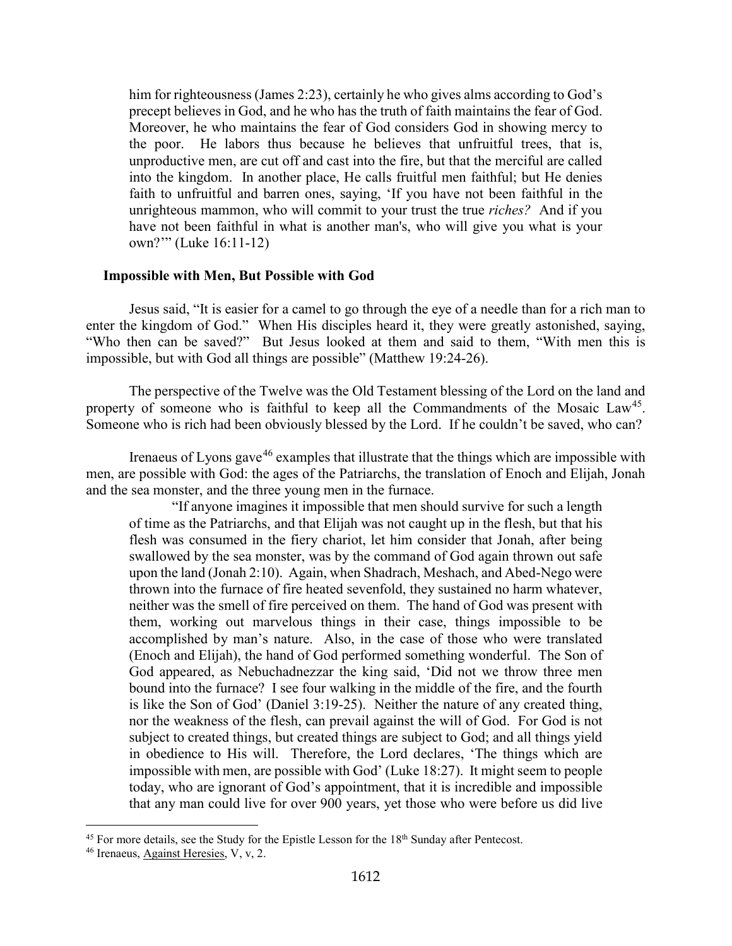him for righteousness (James 2:23), certainly he who gives alms according to God's precept believes in God, and he who has the truth of faith maintains the fear of God. Moreover, he who maintains the fear of God considers God in showing mercy to the poor. He labors thus because he believes that unfruitful trees, that is, unproductive men, are cut off and cast into the fire, but that the merciful are called into the kingdom. In another place, He calls fruitful men faithful; but He denies faith to unfruitful and barren ones, saying, 'If you have not been faithful in the unrighteous mammon, who will commit to your trust the true *riches?* And if you have not been faithful in what is another man's, who will give you what is your own?'" (Luke 16:11-12)

#### <span id="page-26-0"></span>**Impossible with Men, But Possible with God**

Jesus said, "It is easier for a camel to go through the eye of a needle than for a rich man to enter the kingdom of God." When His disciples heard it, they were greatly astonished, saying, "Who then can be saved?" But Jesus looked at them and said to them, "With men this is impossible, but with God all things are possible" (Matthew 19:24-26).

The perspective of the Twelve was the Old Testament blessing of the Lord on the land and property of someone who is faithful to keep all the Commandments of the Mosaic  $Law<sup>45</sup>$  $Law<sup>45</sup>$  $Law<sup>45</sup>$ . Someone who is rich had been obviously blessed by the Lord. If he couldn't be saved, who can?

Irenaeus of Lyons gave<sup>[46](#page-26-2)</sup> examples that illustrate that the things which are impossible with men, are possible with God: the ages of the Patriarchs, the translation of Enoch and Elijah, Jonah and the sea monster, and the three young men in the furnace.

"If anyone imagines it impossible that men should survive for such a length of time as the Patriarchs, and that Elijah was not caught up in the flesh, but that his flesh was consumed in the fiery chariot, let him consider that Jonah, after being swallowed by the sea monster, was by the command of God again thrown out safe upon the land (Jonah 2:10). Again, when Shadrach, Meshach, and Abed-Nego were thrown into the furnace of fire heated sevenfold, they sustained no harm whatever, neither was the smell of fire perceived on them. The hand of God was present with them, working out marvelous things in their case, things impossible to be accomplished by man's nature. Also, in the case of those who were translated (Enoch and Elijah), the hand of God performed something wonderful. The Son of God appeared, as Nebuchadnezzar the king said, 'Did not we throw three men bound into the furnace? I see four walking in the middle of the fire, and the fourth is like the Son of God' (Daniel 3:19-25). Neither the nature of any created thing, nor the weakness of the flesh, can prevail against the will of God. For God is not subject to created things, but created things are subject to God; and all things yield in obedience to His will. Therefore, the Lord declares, 'The things which are impossible with men, are possible with God' (Luke 18:27). It might seem to people today, who are ignorant of God's appointment, that it is incredible and impossible that any man could live for over 900 years, yet those who were before us did live

<span id="page-26-1"></span> $45$  For more details, see the Study for the Epistle Lesson for the  $18<sup>th</sup>$  Sunday after Pentecost.

<span id="page-26-2"></span><sup>46</sup> Irenaeus, Against Heresies, V, v, 2.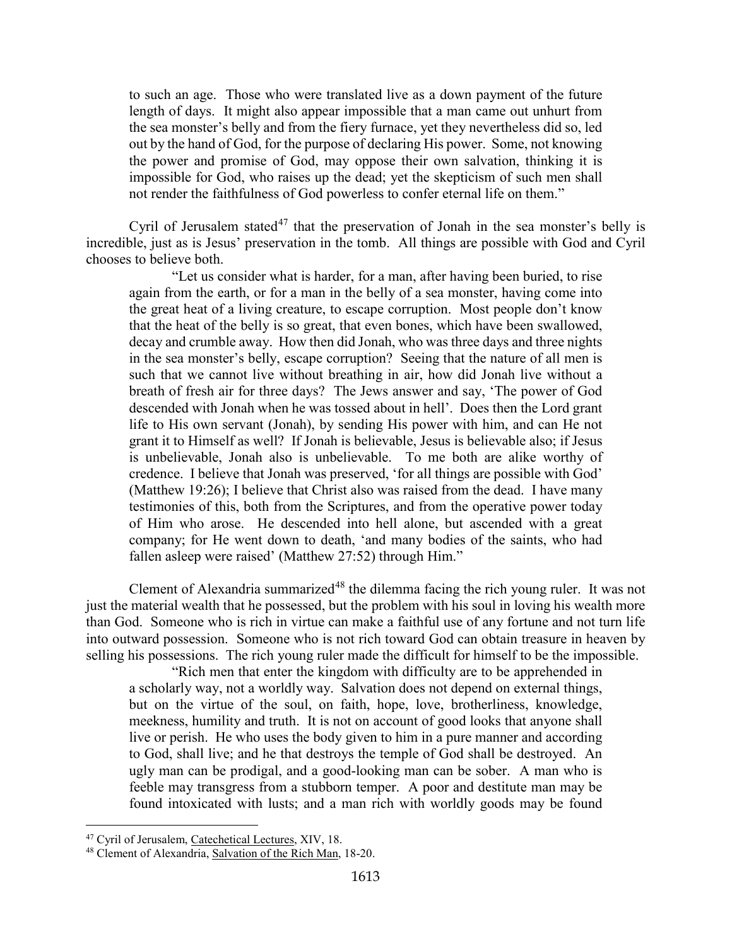to such an age. Those who were translated live as a down payment of the future length of days. It might also appear impossible that a man came out unhurt from the sea monster's belly and from the fiery furnace, yet they nevertheless did so, led out by the hand of God, for the purpose of declaring His power. Some, not knowing the power and promise of God, may oppose their own salvation, thinking it is impossible for God, who raises up the dead; yet the skepticism of such men shall not render the faithfulness of God powerless to confer eternal life on them."

Cyril of Jerusalem stated<sup>[47](#page-27-0)</sup> that the preservation of Jonah in the sea monster's belly is incredible, just as is Jesus' preservation in the tomb. All things are possible with God and Cyril chooses to believe both.

"Let us consider what is harder, for a man, after having been buried, to rise again from the earth, or for a man in the belly of a sea monster, having come into the great heat of a living creature, to escape corruption. Most people don't know that the heat of the belly is so great, that even bones, which have been swallowed, decay and crumble away. How then did Jonah, who was three days and three nights in the sea monster's belly, escape corruption? Seeing that the nature of all men is such that we cannot live without breathing in air, how did Jonah live without a breath of fresh air for three days? The Jews answer and say, 'The power of God descended with Jonah when he was tossed about in hell'. Does then the Lord grant life to His own servant (Jonah), by sending His power with him, and can He not grant it to Himself as well? If Jonah is believable, Jesus is believable also; if Jesus is unbelievable, Jonah also is unbelievable. To me both are alike worthy of credence. I believe that Jonah was preserved, 'for all things are possible with God' (Matthew 19:26); I believe that Christ also was raised from the dead. I have many testimonies of this, both from the Scriptures, and from the operative power today of Him who arose. He descended into hell alone, but ascended with a great company; for He went down to death, 'and many bodies of the saints, who had fallen asleep were raised' (Matthew 27:52) through Him."

Clement of Alexandria summarized<sup>[48](#page-27-1)</sup> the dilemma facing the rich young ruler. It was not just the material wealth that he possessed, but the problem with his soul in loving his wealth more than God. Someone who is rich in virtue can make a faithful use of any fortune and not turn life into outward possession. Someone who is not rich toward God can obtain treasure in heaven by selling his possessions. The rich young ruler made the difficult for himself to be the impossible.

"Rich men that enter the kingdom with difficulty are to be apprehended in a scholarly way, not a worldly way. Salvation does not depend on external things, but on the virtue of the soul, on faith, hope, love, brotherliness, knowledge, meekness, humility and truth. It is not on account of good looks that anyone shall live or perish. He who uses the body given to him in a pure manner and according to God, shall live; and he that destroys the temple of God shall be destroyed. An ugly man can be prodigal, and a good-looking man can be sober. A man who is feeble may transgress from a stubborn temper. A poor and destitute man may be found intoxicated with lusts; and a man rich with worldly goods may be found

<span id="page-27-0"></span><sup>&</sup>lt;sup>47</sup> Cyril of Jerusalem, Catechetical Lectures, XIV, 18.

<span id="page-27-1"></span><sup>48</sup> Clement of Alexandria, Salvation of the Rich Man, 18-20.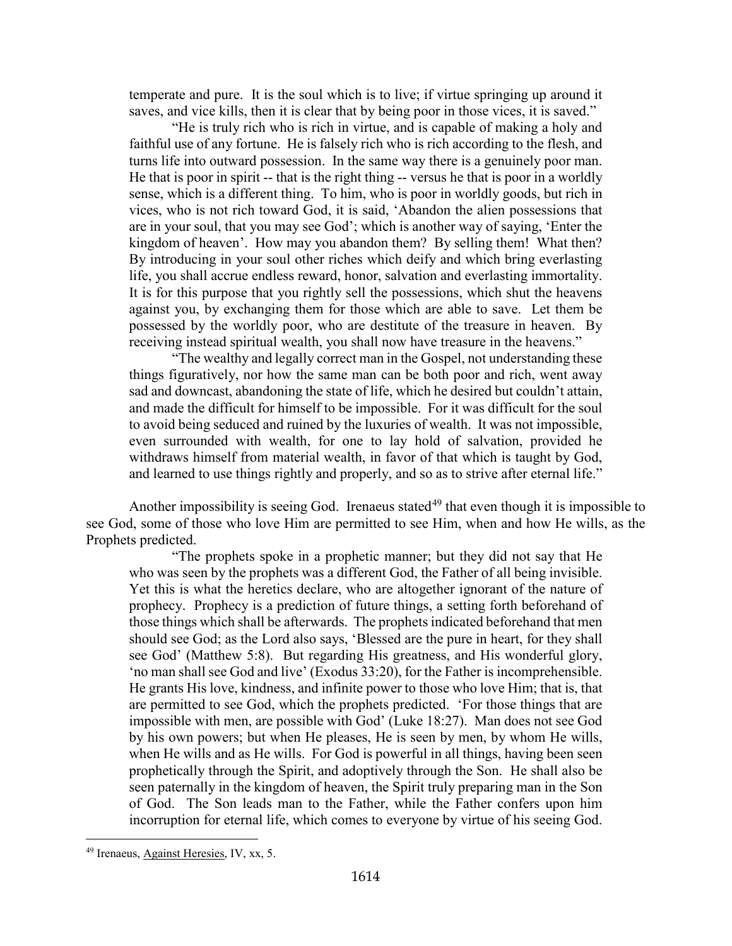temperate and pure. It is the soul which is to live; if virtue springing up around it saves, and vice kills, then it is clear that by being poor in those vices, it is saved."

"He is truly rich who is rich in virtue, and is capable of making a holy and faithful use of any fortune. He is falsely rich who is rich according to the flesh, and turns life into outward possession. In the same way there is a genuinely poor man. He that is poor in spirit -- that is the right thing -- versus he that is poor in a worldly sense, which is a different thing. To him, who is poor in worldly goods, but rich in vices, who is not rich toward God, it is said, 'Abandon the alien possessions that are in your soul, that you may see God'; which is another way of saying, 'Enter the kingdom of heaven'. How may you abandon them? By selling them! What then? By introducing in your soul other riches which deify and which bring everlasting life, you shall accrue endless reward, honor, salvation and everlasting immortality. It is for this purpose that you rightly sell the possessions, which shut the heavens against you, by exchanging them for those which are able to save. Let them be possessed by the worldly poor, who are destitute of the treasure in heaven. By receiving instead spiritual wealth, you shall now have treasure in the heavens."

"The wealthy and legally correct man in the Gospel, not understanding these things figuratively, nor how the same man can be both poor and rich, went away sad and downcast, abandoning the state of life, which he desired but couldn't attain, and made the difficult for himself to be impossible. For it was difficult for the soul to avoid being seduced and ruined by the luxuries of wealth. It was not impossible, even surrounded with wealth, for one to lay hold of salvation, provided he withdraws himself from material wealth, in favor of that which is taught by God, and learned to use things rightly and properly, and so as to strive after eternal life."

Another impossibility is seeing God. Irenaeus stated<sup>[49](#page-28-0)</sup> that even though it is impossible to see God, some of those who love Him are permitted to see Him, when and how He wills, as the Prophets predicted.

"The prophets spoke in a prophetic manner; but they did not say that He who was seen by the prophets was a different God, the Father of all being invisible. Yet this is what the heretics declare, who are altogether ignorant of the nature of prophecy. Prophecy is a prediction of future things, a setting forth beforehand of those things which shall be afterwards. The prophets indicated beforehand that men should see God; as the Lord also says, 'Blessed are the pure in heart, for they shall see God' (Matthew 5:8). But regarding His greatness, and His wonderful glory, 'no man shall see God and live' (Exodus 33:20), for the Father is incomprehensible. He grants His love, kindness, and infinite power to those who love Him; that is, that are permitted to see God, which the prophets predicted. 'For those things that are impossible with men, are possible with God' (Luke 18:27). Man does not see God by his own powers; but when He pleases, He is seen by men, by whom He wills, when He wills and as He wills. For God is powerful in all things, having been seen prophetically through the Spirit, and adoptively through the Son. He shall also be seen paternally in the kingdom of heaven, the Spirit truly preparing man in the Son of God. The Son leads man to the Father, while the Father confers upon him incorruption for eternal life, which comes to everyone by virtue of his seeing God.

<span id="page-28-0"></span><sup>49</sup> Irenaeus, Against Heresies, IV, xx, 5.